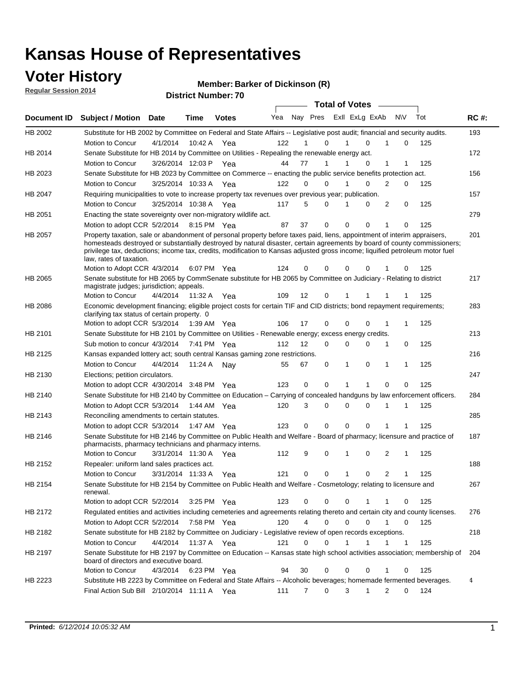### **Voter History**

**Regular Session 2014**

#### **Member: Barker of Dickinson (R)**

|             | <b>DISTRICT MAILINGLY</b><br><b>Total of Votes</b>                                                                                                                                                                                                                                                                                                                                                               |                       |             |              |     |                   |          |  |             |                |                             |     |     |             |
|-------------|------------------------------------------------------------------------------------------------------------------------------------------------------------------------------------------------------------------------------------------------------------------------------------------------------------------------------------------------------------------------------------------------------------------|-----------------------|-------------|--------------|-----|-------------------|----------|--|-------------|----------------|-----------------------------|-----|-----|-------------|
| Document ID | <b>Subject / Motion</b>                                                                                                                                                                                                                                                                                                                                                                                          | Date                  | Time        | <b>Votes</b> | Yea |                   | Nay Pres |  |             | Exll ExLg ExAb | N\V                         | Tot |     | <b>RC#:</b> |
| HB 2002     | Substitute for HB 2002 by Committee on Federal and State Affairs -- Legislative post audit; financial and security audits.                                                                                                                                                                                                                                                                                       |                       |             |              |     |                   |          |  |             |                |                             |     |     | 193         |
|             | Motion to Concur                                                                                                                                                                                                                                                                                                                                                                                                 | 4/1/2014              | 10:42 A     | Yea          | 122 |                   | 0        |  |             | $\Omega$       | 0                           |     | 125 |             |
| HB 2014     | Senate Substitute for HB 2014 by Committee on Utilities - Repealing the renewable energy act.                                                                                                                                                                                                                                                                                                                    |                       |             |              |     |                   |          |  |             |                |                             |     |     | 172         |
|             | Motion to Concur                                                                                                                                                                                                                                                                                                                                                                                                 | 3/26/2014 12:03 P Yea |             |              | 44  | 77                | 1        |  |             | 0              | 1<br>1                      |     | 125 |             |
| HB 2023     | Senate Substitute for HB 2023 by Committee on Commerce -- enacting the public service benefits protection act.                                                                                                                                                                                                                                                                                                   |                       |             |              |     |                   |          |  |             |                |                             |     |     | 156         |
|             | Motion to Concur                                                                                                                                                                                                                                                                                                                                                                                                 | 3/25/2014 10:33 A Yea |             |              | 122 | $\Omega$          | 0        |  | 1           | $\Omega$       | 2<br>0                      |     | 125 |             |
| HB 2047     | Requiring municipalities to vote to increase property tax revenues over previous year; publication.                                                                                                                                                                                                                                                                                                              |                       |             |              |     |                   |          |  |             |                |                             |     |     | 157         |
|             | Motion to Concur                                                                                                                                                                                                                                                                                                                                                                                                 | 3/25/2014 10:38 A     |             | Yea          | 117 | 5                 | 0        |  |             | 0              | 2<br>0                      |     | 125 |             |
| HB 2051     | Enacting the state sovereignty over non-migratory wildlife act.                                                                                                                                                                                                                                                                                                                                                  |                       |             |              |     |                   |          |  |             |                |                             |     |     | 279         |
|             |                                                                                                                                                                                                                                                                                                                                                                                                                  |                       |             |              | 87  | 37                | 0        |  | 0           | 0              | 1<br>$\Omega$               |     | 125 |             |
|             | Motion to adopt CCR 5/2/2014                                                                                                                                                                                                                                                                                                                                                                                     |                       | 8:15 PM Yea |              |     |                   |          |  |             |                |                             |     |     |             |
| HB 2057     | Property taxation, sale or abandonment of personal property before taxes paid, liens, appointment of interim appraisers,<br>homesteads destroyed or substantially destroyed by natural disaster, certain agreements by board of county commissioners;<br>privilege tax, deductions; income tax, credits, modification to Kansas adjusted gross income; liquified petroleum motor fuel<br>law, rates of taxation. |                       |             |              |     |                   |          |  |             |                |                             |     |     | 201         |
|             | Motion to Adopt CCR 4/3/2014                                                                                                                                                                                                                                                                                                                                                                                     |                       |             | 6:07 PM Yea  | 124 | 0                 | 0        |  | 0           | $\Omega$       | 0                           |     | 125 |             |
| HB 2065     | Senate substitute for HB 2065 by CommSenate substitute for HB 2065 by Committee on Judiciary - Relating to district<br>magistrate judges; jurisdiction; appeals.                                                                                                                                                                                                                                                 |                       |             |              |     |                   |          |  |             |                |                             |     |     | 217         |
|             | Motion to Concur                                                                                                                                                                                                                                                                                                                                                                                                 | 4/4/2014 11:32 A Yea  |             |              | 109 | $12 \overline{ }$ | 0        |  | 1           | 1              | -1<br>1                     |     | 125 |             |
| HB 2086     | Economic development financing; eligible project costs for certain TIF and CID districts; bond repayment requirements;<br>clarifying tax status of certain property. 0                                                                                                                                                                                                                                           |                       |             |              |     |                   |          |  |             |                |                             |     |     | 283         |
|             | Motion to adopt CCR 5/3/2014 1:39 AM Yea                                                                                                                                                                                                                                                                                                                                                                         |                       |             |              | 106 | 17                | 0        |  | 0           | $\Omega$       | 1<br>1                      |     | 125 |             |
| HB 2101     | Senate Substitute for HB 2101 by Committee on Utilities - Renewable energy; excess energy credits.                                                                                                                                                                                                                                                                                                               |                       |             |              |     |                   |          |  |             |                |                             |     |     | 213         |
|             | Sub motion to concur 4/3/2014                                                                                                                                                                                                                                                                                                                                                                                    |                       |             | 7:41 PM Yea  | 112 | 12                | 0        |  | 0           | 0              | 0<br>1                      |     | 125 |             |
| HB 2125     | Kansas expanded lottery act; south central Kansas gaming zone restrictions.                                                                                                                                                                                                                                                                                                                                      |                       |             |              |     |                   |          |  |             |                |                             |     |     | 216         |
|             | Motion to Concur                                                                                                                                                                                                                                                                                                                                                                                                 | 4/4/2014              | 11:24 A     | Nav          | 55  | 67                | 0        |  | 1           | 0              | $\mathbf{1}$<br>$\mathbf 1$ |     | 125 |             |
| HB 2130     | Elections; petition circulators.                                                                                                                                                                                                                                                                                                                                                                                 |                       |             |              |     |                   |          |  |             |                |                             |     |     | 247         |
|             | Motion to adopt CCR 4/30/2014 3:48 PM Yea                                                                                                                                                                                                                                                                                                                                                                        |                       |             |              | 123 | 0                 | 0        |  | 1           | 1              | $\Omega$<br>0               |     | 125 |             |
| HB 2140     | Senate Substitute for HB 2140 by Committee on Education – Carrying of concealed handguns by law enforcement officers.                                                                                                                                                                                                                                                                                            |                       |             |              |     |                   |          |  |             |                |                             |     |     | 284         |
|             | Motion to Adopt CCR 5/3/2014                                                                                                                                                                                                                                                                                                                                                                                     |                       |             | 1:44 AM Yea  | 120 | 3                 | 0        |  | 0           | 0              | -1<br>1                     |     | 125 |             |
| HB 2143     | Reconciling amendments to certain statutes.                                                                                                                                                                                                                                                                                                                                                                      |                       |             |              |     |                   |          |  |             |                |                             |     |     | 285         |
|             | Motion to adopt CCR 5/3/2014                                                                                                                                                                                                                                                                                                                                                                                     |                       |             | 1:47 AM Yea  | 123 | 0                 | 0        |  | 0           | 0              | 1<br>1                      |     | 125 |             |
| HB 2146     | Senate Substitute for HB 2146 by Committee on Public Health and Welfare - Board of pharmacy; licensure and practice of<br>pharmacists, pharmacy technicians and pharmacy interns.                                                                                                                                                                                                                                |                       |             |              |     |                   |          |  |             |                |                             |     |     | 187         |
|             | Motion to Concur                                                                                                                                                                                                                                                                                                                                                                                                 | 3/31/2014 11:30 A     |             | Yea          | 112 | 9                 | 0        |  | 1           | 0              | 2<br>1                      |     | 125 |             |
| HB 2152     | Repealer: uniform land sales practices act.                                                                                                                                                                                                                                                                                                                                                                      |                       |             |              |     |                   |          |  |             |                |                             |     |     | 188         |
|             | <b>Motion to Concur</b>                                                                                                                                                                                                                                                                                                                                                                                          | 3/31/2014 11:33 A     |             | Yea          | 121 |                   | 0<br>0   |  | 1           | 0              | 2<br>1                      |     | 125 |             |
| HB 2154     | Senate Substitute for HB 2154 by Committee on Public Health and Welfare - Cosmetology; relating to licensure and<br>renewal.                                                                                                                                                                                                                                                                                     |                       |             |              |     |                   |          |  |             |                |                             |     |     | 267         |
|             | Motion to adopt CCR 5/2/2014 3:25 PM Yea                                                                                                                                                                                                                                                                                                                                                                         |                       |             |              | 123 |                   | 0<br>0   |  | 0           |                | 0<br>1                      |     | 125 |             |
| HB 2172     | Requlated entities and activities including cemeteries and agreements relating thereto and certain city and county licenses.                                                                                                                                                                                                                                                                                     |                       |             |              |     |                   |          |  |             |                |                             |     |     | 276         |
|             | Motion to Adopt CCR 5/2/2014                                                                                                                                                                                                                                                                                                                                                                                     |                       | 7:58 PM Yea |              | 120 |                   | 4<br>0   |  | $\mathbf 0$ | $\mathbf 0$    | $\mathbf{1}$<br>0           |     | 125 |             |
| HB 2182     | Senate substitute for HB 2182 by Committee on Judiciary - Legislative review of open records exceptions.                                                                                                                                                                                                                                                                                                         |                       |             |              |     |                   |          |  |             |                |                             |     |     | 218         |
|             | Motion to Concur                                                                                                                                                                                                                                                                                                                                                                                                 | 4/4/2014 11:37 A Yea  |             |              | 121 | 0                 | 0        |  | 1           | 1              | $\mathbf 1$<br>$\mathbf 1$  |     | 125 |             |
|             | Senate Substitute for HB 2197 by Committee on Education -- Kansas state high school activities association; membership of                                                                                                                                                                                                                                                                                        |                       |             |              |     |                   |          |  |             |                |                             |     |     | 204         |
| HB 2197     | board of directors and executive board.                                                                                                                                                                                                                                                                                                                                                                          |                       |             |              |     |                   |          |  |             |                |                             |     |     |             |
|             | Motion to Concur                                                                                                                                                                                                                                                                                                                                                                                                 | 4/3/2014              |             | 6:23 PM Yea  | 94  | 30                | 0        |  | 0           | 0              | 0                           |     | 125 |             |
| HB 2223     | Substitute HB 2223 by Committee on Federal and State Affairs -- Alcoholic beverages; homemade fermented beverages.<br>Final Action Sub Bill 2/10/2014 11:11 A Yea                                                                                                                                                                                                                                                |                       |             |              | 111 |                   | 0<br>7   |  | 3           | 1              | 2<br>0                      |     | 124 | 4           |
|             |                                                                                                                                                                                                                                                                                                                                                                                                                  |                       |             |              |     |                   |          |  |             |                |                             |     |     |             |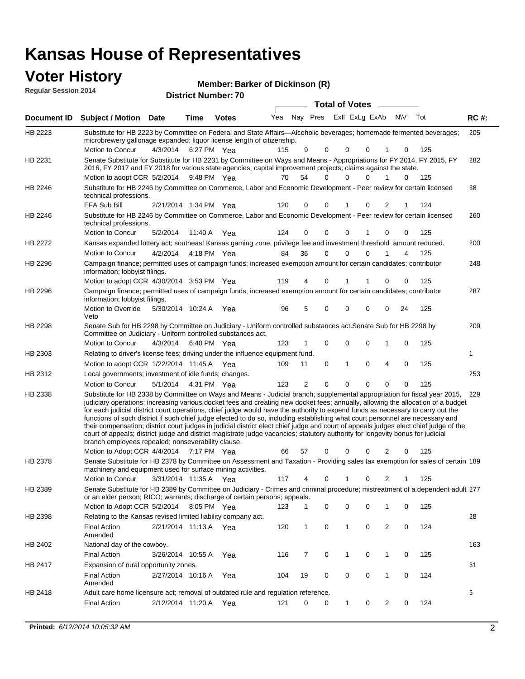| <b>Voter History</b><br><b>Regular Session 2014</b> |                                                                                                                                                                                                                                                                                                                                                                                                                                                                                                                                                                                                                                                                                                                                                                                                                                                                                                                 |                       |             | Member: Barker of Dickinson (R) |     |                |             |              |                         |                |             |         |             |
|-----------------------------------------------------|-----------------------------------------------------------------------------------------------------------------------------------------------------------------------------------------------------------------------------------------------------------------------------------------------------------------------------------------------------------------------------------------------------------------------------------------------------------------------------------------------------------------------------------------------------------------------------------------------------------------------------------------------------------------------------------------------------------------------------------------------------------------------------------------------------------------------------------------------------------------------------------------------------------------|-----------------------|-------------|---------------------------------|-----|----------------|-------------|--------------|-------------------------|----------------|-------------|---------|-------------|
|                                                     |                                                                                                                                                                                                                                                                                                                                                                                                                                                                                                                                                                                                                                                                                                                                                                                                                                                                                                                 |                       |             | <b>District Number: 70</b>      |     |                |             |              | <b>Total of Votes</b>   |                |             |         |             |
|                                                     | Document ID Subject / Motion Date                                                                                                                                                                                                                                                                                                                                                                                                                                                                                                                                                                                                                                                                                                                                                                                                                                                                               |                       | Time        | <b>Votes</b>                    | Yea |                |             |              | Nay Pres ExII ExLg ExAb |                | <b>NV</b>   | Tot     | <b>RC#:</b> |
| HB 2223                                             | Substitute for HB 2223 by Committee on Federal and State Affairs—Alcoholic beverages; homemade fermented beverages;                                                                                                                                                                                                                                                                                                                                                                                                                                                                                                                                                                                                                                                                                                                                                                                             |                       |             |                                 |     |                |             |              |                         |                |             |         | 205         |
|                                                     | microbrewery gallonage expanded; liquor license length of citizenship.                                                                                                                                                                                                                                                                                                                                                                                                                                                                                                                                                                                                                                                                                                                                                                                                                                          |                       |             |                                 |     |                |             |              |                         |                |             |         |             |
|                                                     | Motion to Concur                                                                                                                                                                                                                                                                                                                                                                                                                                                                                                                                                                                                                                                                                                                                                                                                                                                                                                | 4/3/2014              | 6:27 PM Yea |                                 | 115 | 9              | 0           | 0            | 0                       | 1              | 0           | 125     |             |
| HB 2231                                             | Senate Substitute for Substitute for HB 2231 by Committee on Ways and Means - Appropriations for FY 2014, FY 2015, FY<br>2016, FY 2017 and FY 2018 for various state agencies; capital improvement projects; claims against the state.                                                                                                                                                                                                                                                                                                                                                                                                                                                                                                                                                                                                                                                                          |                       |             |                                 |     |                |             |              |                         |                |             |         | 282         |
|                                                     | Motion to adopt CCR 5/2/2014 9:48 PM Yea                                                                                                                                                                                                                                                                                                                                                                                                                                                                                                                                                                                                                                                                                                                                                                                                                                                                        |                       |             |                                 | 70  | 54             | $\Omega$    | 0            | $\Omega$                | 1              | 0           | 125     |             |
| HB 2246                                             | Substitute for HB 2246 by Committee on Commerce, Labor and Economic Development - Peer review for certain licensed<br>technical professions.                                                                                                                                                                                                                                                                                                                                                                                                                                                                                                                                                                                                                                                                                                                                                                    |                       |             |                                 |     |                |             |              |                         |                |             |         | 38          |
|                                                     | EFA Sub Bill                                                                                                                                                                                                                                                                                                                                                                                                                                                                                                                                                                                                                                                                                                                                                                                                                                                                                                    | 2/21/2014 1:34 PM Yea |             |                                 | 120 | 0              | 0           | 1            | 0                       | 2              | 1           | 124     |             |
| HB 2246                                             | Substitute for HB 2246 by Committee on Commerce, Labor and Economic Development - Peer review for certain licensed<br>technical professions.                                                                                                                                                                                                                                                                                                                                                                                                                                                                                                                                                                                                                                                                                                                                                                    |                       |             |                                 |     |                |             |              |                         |                |             |         | 260         |
|                                                     | Motion to Concur                                                                                                                                                                                                                                                                                                                                                                                                                                                                                                                                                                                                                                                                                                                                                                                                                                                                                                | 5/2/2014              | 11:40 A     | Yea                             | 124 | 0              | 0           | 0            | 1                       | 0              | 0           | 125     |             |
| HB 2272                                             | Kansas expanded lottery act; southeast Kansas gaming zone; privilege fee and investment threshold amount reduced.                                                                                                                                                                                                                                                                                                                                                                                                                                                                                                                                                                                                                                                                                                                                                                                               |                       |             |                                 |     |                |             |              |                         |                |             |         | 200         |
|                                                     | Motion to Concur                                                                                                                                                                                                                                                                                                                                                                                                                                                                                                                                                                                                                                                                                                                                                                                                                                                                                                | 4/2/2014              | 4:18 PM Yea |                                 | 84  | 36             | 0           | 0            | 0                       |                | 4           | 125     |             |
| HB 2296                                             | Campaign finance; permitted uses of campaign funds; increased exemption amount for certain candidates; contributor<br>information; lobbyist filings.                                                                                                                                                                                                                                                                                                                                                                                                                                                                                                                                                                                                                                                                                                                                                            |                       |             |                                 |     |                |             |              |                         |                |             |         | 248         |
|                                                     | Motion to adopt CCR 4/30/2014 3:53 PM Yea                                                                                                                                                                                                                                                                                                                                                                                                                                                                                                                                                                                                                                                                                                                                                                                                                                                                       |                       |             |                                 | 119 | 4              | 0           | 1            |                         | 0              | 0           | 125     |             |
| HB 2296                                             | Campaign finance; permitted uses of campaign funds; increased exemption amount for certain candidates; contributor<br>information; lobbyist filings.                                                                                                                                                                                                                                                                                                                                                                                                                                                                                                                                                                                                                                                                                                                                                            |                       |             |                                 |     |                |             |              |                         |                |             |         | 287         |
|                                                     | Motion to Override<br>Veto                                                                                                                                                                                                                                                                                                                                                                                                                                                                                                                                                                                                                                                                                                                                                                                                                                                                                      | 5/30/2014 10:24 A Yea |             |                                 | 96  | 5              | 0           | 0            | 0                       | 0              | 24          | 125     |             |
| HB 2298                                             | Senate Sub for HB 2298 by Committee on Judiciary - Uniform controlled substances act. Senate Sub for HB 2298 by<br>Committee on Judiciary - Uniform controlled substances act.                                                                                                                                                                                                                                                                                                                                                                                                                                                                                                                                                                                                                                                                                                                                  |                       |             |                                 |     |                |             |              |                         |                |             |         | 209         |
|                                                     | <b>Motion to Concur</b>                                                                                                                                                                                                                                                                                                                                                                                                                                                                                                                                                                                                                                                                                                                                                                                                                                                                                         | 4/3/2014              | 6:40 PM Yea |                                 | 123 | 1              | 0           | 0            | 0                       | 1              | 0           | 125     |             |
| HB 2303                                             | Relating to driver's license fees; driving under the influence equipment fund.                                                                                                                                                                                                                                                                                                                                                                                                                                                                                                                                                                                                                                                                                                                                                                                                                                  |                       |             |                                 |     |                |             |              |                         |                |             |         | 1           |
|                                                     | Motion to adopt CCR 1/22/2014 11:45 A Yea                                                                                                                                                                                                                                                                                                                                                                                                                                                                                                                                                                                                                                                                                                                                                                                                                                                                       |                       |             |                                 | 109 | 11             | 0           | 1            | 0                       | 4              | 0           | 125     |             |
| HB 2312                                             | Local governments; investment of idle funds; changes.                                                                                                                                                                                                                                                                                                                                                                                                                                                                                                                                                                                                                                                                                                                                                                                                                                                           |                       |             |                                 |     |                |             |              |                         |                |             |         | 253         |
|                                                     | Motion to Concur                                                                                                                                                                                                                                                                                                                                                                                                                                                                                                                                                                                                                                                                                                                                                                                                                                                                                                | 5/1/2014              | 4:31 PM Yea |                                 | 123 | $\overline{2}$ | $\mathbf 0$ | 0            | $\mathbf 0$             | $\mathbf 0$    | $\mathbf 0$ | 125     |             |
| HB 2338                                             | Substitute for HB 2338 by Committee on Ways and Means - Judicial branch; supplemental appropriation for fiscal year 2015,<br>judiciary operations; increasing various docket fees and creating new docket fees; annually, allowing the allocation of a budget<br>for each judicial district court operations, chief judge would have the authority to expend funds as necessary to carry out the<br>functions of such district if such chief judge elected to do so, including establishing what court personnel are necessary and<br>their compensation; district court judges in judicial district elect chief judge and court of appeals judges elect chief judge of the<br>court of appeals; district judge and district magistrate judge vacancies; statutory authority for longevity bonus for judicial<br>branch employees repealed; nonseverability clause.<br>Motion to Adopt CCR 4/4/2014 7:17 PM Yea |                       |             |                                 |     |                |             |              | 66 57 0 0 0 2           |                |             | $0$ 125 | 229         |
| HB 2378                                             | Senate Substitute for HB 2378 by Committee on Assessment and Taxation - Providing sales tax exemption for sales of certain 189                                                                                                                                                                                                                                                                                                                                                                                                                                                                                                                                                                                                                                                                                                                                                                                  |                       |             |                                 |     |                |             |              |                         |                |             |         |             |
|                                                     | machinery and equipment used for surface mining activities.<br>Motion to Concur                                                                                                                                                                                                                                                                                                                                                                                                                                                                                                                                                                                                                                                                                                                                                                                                                                 | 3/31/2014 11:35 A Yea |             |                                 | 117 | 4              | 0           | 1            | 0                       | 2              | 1           | 125     |             |
| HB 2389                                             | Senate Substitute for HB 2389 by Committee on Judiciary - Crimes and criminal procedure; mistreatment of a dependent adult 277                                                                                                                                                                                                                                                                                                                                                                                                                                                                                                                                                                                                                                                                                                                                                                                  |                       |             |                                 |     |                |             |              |                         |                |             |         |             |
|                                                     | or an elder person; RICO; warrants; discharge of certain persons; appeals.<br>Motion to Adopt CCR 5/2/2014                                                                                                                                                                                                                                                                                                                                                                                                                                                                                                                                                                                                                                                                                                                                                                                                      |                       | 8:05 PM Yea |                                 | 123 | 1              | 0           | 0            | 0                       | 1              | 0           | 125     |             |
| HB 2398                                             | Relating to the Kansas revised limited liability company act.                                                                                                                                                                                                                                                                                                                                                                                                                                                                                                                                                                                                                                                                                                                                                                                                                                                   |                       |             |                                 |     |                |             |              |                         |                |             |         | 28          |
|                                                     | <b>Final Action</b><br>Amended                                                                                                                                                                                                                                                                                                                                                                                                                                                                                                                                                                                                                                                                                                                                                                                                                                                                                  | 2/21/2014 11:13 A Yea |             |                                 | 120 | 1              | 0           | 1            | 0                       | $\overline{2}$ | 0           | 124     |             |
| HB 2402                                             | National day of the cowboy.                                                                                                                                                                                                                                                                                                                                                                                                                                                                                                                                                                                                                                                                                                                                                                                                                                                                                     |                       |             |                                 |     |                |             |              |                         |                |             |         | 163         |
|                                                     | <b>Final Action</b>                                                                                                                                                                                                                                                                                                                                                                                                                                                                                                                                                                                                                                                                                                                                                                                                                                                                                             | 3/26/2014 10:55 A Yea |             |                                 | 116 | 7              | 0           | $\mathbf{1}$ | 0                       | 1              | 0           | 125     |             |
| HB 2417                                             | Expansion of rural opportunity zones.                                                                                                                                                                                                                                                                                                                                                                                                                                                                                                                                                                                                                                                                                                                                                                                                                                                                           |                       |             |                                 |     |                |             |              |                         |                |             |         | 61          |

2/27/2014 Final Action Yea 124 10:16 A 104 19 0 0 10 0

2/12/2014 Final Action Yea 124 11:20 A 121 0 0 0 20 1

Adult care home licensure act; removal of outdated rule and regulation reference.

HB 2418

Amended

6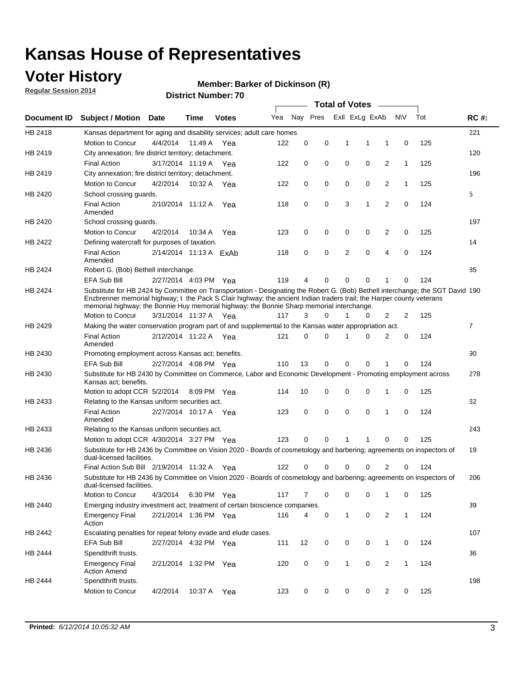### **Voter History**

**Regular Session 2014**

#### **Member: Barker of Dickinson (R)**

|             |                                                                                                                                                                                                                                                                                                                                                      |                        |             | <b>DISTRICT MAILINGLY</b> |     |          |          |              | Total of Votes –        |                |              |     |                |
|-------------|------------------------------------------------------------------------------------------------------------------------------------------------------------------------------------------------------------------------------------------------------------------------------------------------------------------------------------------------------|------------------------|-------------|---------------------------|-----|----------|----------|--------------|-------------------------|----------------|--------------|-----|----------------|
| Document ID | <b>Subject / Motion</b>                                                                                                                                                                                                                                                                                                                              | Date                   | Time        | <b>Votes</b>              | Yea |          |          |              | Nay Pres ExII ExLg ExAb |                | <b>NV</b>    | Tot | <b>RC#:</b>    |
| HB 2418     | Kansas department for aging and disability services; adult care homes                                                                                                                                                                                                                                                                                |                        |             |                           |     |          |          |              |                         |                |              |     | 221            |
|             | Motion to Concur                                                                                                                                                                                                                                                                                                                                     | 4/4/2014               | 11:49 A     | Yea                       | 122 | 0        | 0        | 1            | 1                       | 1              | 0            | 125 |                |
| HB 2419     | City annexation; fire district territory; detachment.                                                                                                                                                                                                                                                                                                |                        |             |                           |     |          |          |              |                         |                |              |     | 120            |
|             | <b>Final Action</b>                                                                                                                                                                                                                                                                                                                                  | 3/17/2014 11:19 A      |             | Yea                       | 122 | 0        | 0        | 0            | 0                       | 2              | 1            | 125 |                |
| HB 2419     | City annexation; fire district territory; detachment.                                                                                                                                                                                                                                                                                                |                        |             |                           |     |          |          |              |                         |                |              |     | 196            |
|             | Motion to Concur                                                                                                                                                                                                                                                                                                                                     | 4/2/2014               | 10:32 A     | Yea                       | 122 | 0        | 0        | 0            | 0                       | 2              | $\mathbf{1}$ | 125 |                |
| HB 2420     | School crossing guards.                                                                                                                                                                                                                                                                                                                              |                        |             |                           |     |          |          |              |                         |                |              |     | 5              |
|             | <b>Final Action</b><br>Amended                                                                                                                                                                                                                                                                                                                       | 2/10/2014 11:12 A      |             | Yea                       | 118 | 0        | 0        | 3            | 1                       | $\overline{2}$ | 0            | 124 |                |
| HB 2420     | School crossing guards.                                                                                                                                                                                                                                                                                                                              |                        |             |                           |     |          |          |              |                         |                |              |     | 197            |
|             | Motion to Concur                                                                                                                                                                                                                                                                                                                                     | 4/2/2014               | 10:34 A     | Yea                       | 123 | 0        | 0        | 0            | 0                       | 2              | 0            | 125 |                |
| HB 2422     | Defining watercraft for purposes of taxation.                                                                                                                                                                                                                                                                                                        |                        |             |                           |     |          |          |              |                         |                |              |     | 14             |
|             | <b>Final Action</b><br>Amended                                                                                                                                                                                                                                                                                                                       | 2/14/2014 11:13 A ExAb |             |                           | 118 | 0        | 0        | 2            | 0                       | 4              | 0            | 124 |                |
| HB 2424     | Robert G. (Bob) Bethell interchange.                                                                                                                                                                                                                                                                                                                 |                        |             |                           |     |          |          |              |                         |                |              |     | 85             |
|             | <b>EFA Sub Bill</b>                                                                                                                                                                                                                                                                                                                                  | 2/27/2014 4:03 PM Yea  |             |                           | 119 | 4        | 0        | 0            | 0                       | 1              | 0            | 124 |                |
| HB 2424     | Substitute for HB 2424 by Committee on Transportation - Designating the Robert G. (Bob) Bethell interchange; the SGT David 190<br>Enzbrenner memorial highway; t the Pack S Clair highway; the ancient Indian traders trail; the Harper county veterans<br>memorial highway; the Bonnie Huy memorial highway; the Bonnie Sharp memorial interchange. |                        |             |                           |     |          |          |              |                         |                |              |     |                |
|             | Motion to Concur                                                                                                                                                                                                                                                                                                                                     | 3/31/2014 11:37 A Yea  |             |                           | 117 | 3        | $\Omega$ | 1            | 0                       | 2              | 2            | 125 |                |
| HB 2429     | Making the water conservation program part of and supplemental to the Kansas water appropriation act.                                                                                                                                                                                                                                                |                        |             |                           |     |          |          |              |                         |                |              |     | $\overline{7}$ |
|             | <b>Final Action</b><br>Amended                                                                                                                                                                                                                                                                                                                       | 2/12/2014 11:22 A Yea  |             |                           | 121 | $\Omega$ | 0        | 1            | 0                       | 2              | 0            | 124 |                |
| HB 2430     | Promoting employment across Kansas act; benefits.                                                                                                                                                                                                                                                                                                    |                        |             |                           |     |          |          |              |                         |                |              |     | 90             |
|             | <b>EFA Sub Bill</b>                                                                                                                                                                                                                                                                                                                                  | 2/27/2014 4:08 PM Yea  |             |                           | 110 | 13       | 0        | 0            | 0                       | 1              | 0            | 124 |                |
| HB 2430     | Substitute for HB 2430 by Committee on Commerce, Labor and Economic Development - Promoting employment across<br>Kansas act; benefits.                                                                                                                                                                                                               |                        |             |                           |     |          |          |              |                         |                |              |     | 278            |
|             | Motion to adopt CCR 5/2/2014                                                                                                                                                                                                                                                                                                                         |                        | 8:09 PM Yea |                           | 114 | 10       | 0        | 0            | 0                       | 1              | 0            | 125 |                |
| HB 2433     | Relating to the Kansas uniform securities act.                                                                                                                                                                                                                                                                                                       |                        |             |                           |     |          |          |              |                         |                |              |     | 62             |
|             | <b>Final Action</b><br>Amended                                                                                                                                                                                                                                                                                                                       | 2/27/2014 10:17 A Yea  |             |                           | 123 | 0        | 0        | $\mathbf 0$  | 0                       | 1              | $\mathbf 0$  | 124 |                |
| HB 2433     | Relating to the Kansas uniform securities act.                                                                                                                                                                                                                                                                                                       |                        |             |                           |     |          |          |              |                         |                |              |     | 243            |
|             | Motion to adopt CCR 4/30/2014 3:27 PM Yea                                                                                                                                                                                                                                                                                                            |                        |             |                           | 123 | $\Omega$ | $\Omega$ | 1            | 1                       | $\Omega$       | 0            | 125 |                |
| HB 2436     | Substitute for HB 2436 by Committee on Vision 2020 - Boards of cosmetology and barbering; agreements on inspectors of<br>dual-licensed facilities.                                                                                                                                                                                                   |                        |             |                           |     |          |          |              |                         |                |              |     | 19             |
|             | Final Action Sub Bill 2/19/2014 11:32 A                                                                                                                                                                                                                                                                                                              |                        |             | Yea                       | 122 |          | 0        | 0            | 0                       | 2              | 0            | 124 |                |
| HB 2436     | Substitute for HB 2436 by Committee on Vision 2020 - Boards of cosmetology and barbering; agreements on inspectors of<br>dual-licensed facilities.                                                                                                                                                                                                   |                        |             |                           |     |          |          |              |                         |                |              |     | 206            |
|             | Motion to Concur                                                                                                                                                                                                                                                                                                                                     | 4/3/2014               | 6:30 PM Yea |                           | 117 | 7        | 0        | 0            | 0                       | 1              | 0            | 125 |                |
| HB 2440     | Emerging industry investment act; treatment of certain bioscience companies.                                                                                                                                                                                                                                                                         |                        |             |                           |     |          |          |              |                         |                |              |     | 39             |
|             | <b>Emergency Final</b><br>Action                                                                                                                                                                                                                                                                                                                     | 2/21/2014 1:36 PM Yea  |             |                           | 116 | 4        | 0        | 1            | $\mathbf 0$             | 2              | $\mathbf{1}$ | 124 |                |
| HB 2442     | Escalating penalties for repeat felony evade and elude cases.                                                                                                                                                                                                                                                                                        |                        |             |                           |     |          |          |              |                         |                |              |     | 107            |
|             | EFA Sub Bill                                                                                                                                                                                                                                                                                                                                         | 2/27/2014 4:32 PM Yea  |             |                           | 111 | 12       | 0        | 0            | 0                       | $\mathbf{1}$   | 0            | 124 |                |
| HB 2444     | Spendthrift trusts.                                                                                                                                                                                                                                                                                                                                  |                        |             |                           |     |          |          |              |                         |                |              |     | 36             |
|             | <b>Emergency Final</b><br><b>Action Amend</b>                                                                                                                                                                                                                                                                                                        | 2/21/2014 1:32 PM Yea  |             |                           | 120 | 0        | 0        | $\mathbf{1}$ | 0                       | $\overline{c}$ | $\mathbf{1}$ | 124 |                |
| HB 2444     | Spendthrift trusts.                                                                                                                                                                                                                                                                                                                                  |                        |             |                           |     |          |          |              |                         |                |              |     | 198            |
|             | Motion to Concur                                                                                                                                                                                                                                                                                                                                     | 4/2/2014               | 10:37 A Yea |                           | 123 | 0        | 0        | 0            | 0                       | $\overline{2}$ | 0            | 125 |                |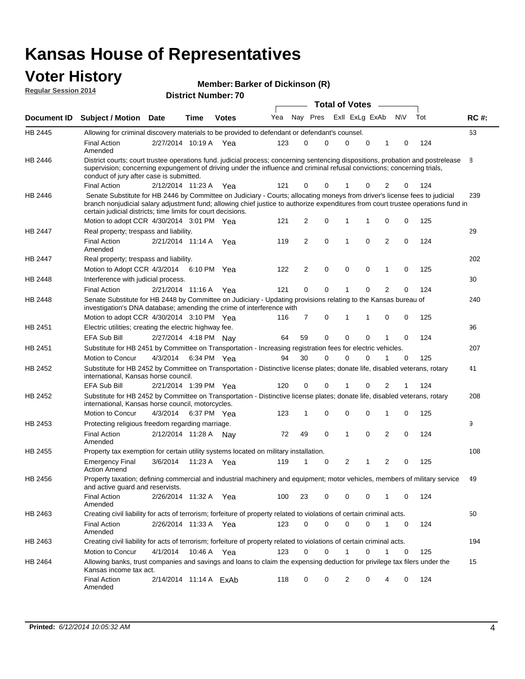#### **Voter History Regular Session 2014**

| Member: Barker of Dickinson (R) |  |
|---------------------------------|--|
|---------------------------------|--|

| <b>District Number: 70</b> |  |
|----------------------------|--|

|                    |                                                                                                                                                                                                                                                                                                                                 |                        |      |              | <b>Total of Votes</b> |                |             |  |                |             |                |             |     |             |
|--------------------|---------------------------------------------------------------------------------------------------------------------------------------------------------------------------------------------------------------------------------------------------------------------------------------------------------------------------------|------------------------|------|--------------|-----------------------|----------------|-------------|--|----------------|-------------|----------------|-------------|-----|-------------|
| <b>Document ID</b> | <b>Subject / Motion Date</b>                                                                                                                                                                                                                                                                                                    |                        | Time | <b>Votes</b> | Yea                   | Nay Pres       |             |  | Exll ExLg ExAb |             |                | <b>NV</b>   | Tot | <b>RC#:</b> |
| HB 2445            | Allowing for criminal discovery materials to be provided to defendant or defendant's counsel.                                                                                                                                                                                                                                   |                        |      |              |                       |                |             |  |                |             |                |             |     | 63          |
|                    | <b>Final Action</b><br>Amended                                                                                                                                                                                                                                                                                                  | 2/27/2014 10:19 A      |      | Yea          | 123                   | 0              | 0           |  | $\Omega$       | $\mathbf 0$ | 1              | 0           | 124 |             |
| <b>HB 2446</b>     | District courts; court trustee operations fund, judicial process; concerning sentencing dispositions, probation and postrelease<br>supervision; concerning expungement of driving under the influence and criminal refusal convictions; concerning trials,<br>conduct of jury after case is submitted.                          |                        |      |              |                       |                |             |  |                |             |                |             |     | 8           |
|                    | <b>Final Action</b>                                                                                                                                                                                                                                                                                                             | 2/12/2014 11:23 A      |      | Yea          | 121                   | 0              | 0           |  |                | 0           | $\overline{2}$ | 0           | 124 |             |
| <b>HB 2446</b>     | Senate Substitute for HB 2446 by Committee on Judiciary - Courts; allocating moneys from driver's license fees to judicial<br>branch nonjudicial salary adjustment fund; allowing chief justice to authorize expenditures from court trustee operations fund in<br>certain judicial districts; time limits for court decisions. |                        |      |              |                       |                |             |  |                |             |                |             |     | 239         |
|                    | Motion to adopt CCR 4/30/2014 3:01 PM Yea                                                                                                                                                                                                                                                                                       |                        |      |              | 121                   | 2              | 0           |  | 1              | 1           | 0              | 0           | 125 |             |
| <b>HB 2447</b>     | Real property; trespass and liability.                                                                                                                                                                                                                                                                                          |                        |      |              |                       |                |             |  |                |             |                |             |     | 29          |
|                    | <b>Final Action</b><br>Amended                                                                                                                                                                                                                                                                                                  | 2/21/2014 11:14 A Yea  |      |              | 119                   | 2              | 0           |  | 1              | $\mathbf 0$ | 2              | $\mathbf 0$ | 124 |             |
| HB 2447            | Real property; trespass and liability.                                                                                                                                                                                                                                                                                          |                        |      |              |                       |                |             |  |                |             |                |             |     | 202         |
|                    | Motion to Adopt CCR 4/3/2014                                                                                                                                                                                                                                                                                                    |                        |      | 6:10 PM Yea  | 122                   | $\overline{2}$ | 0           |  | 0              | $\mathbf 0$ | 1              | $\mathbf 0$ | 125 |             |
| HB 2448            | Interference with judicial process.                                                                                                                                                                                                                                                                                             |                        |      |              |                       |                |             |  |                |             |                |             |     | 30          |
|                    | <b>Final Action</b>                                                                                                                                                                                                                                                                                                             | 2/21/2014 11:16 A      |      | Yea          | 121                   | 0              | $\mathbf 0$ |  | 1              | $\Omega$    | $\overline{2}$ | 0           | 124 |             |
| HB 2448            | Senate Substitute for HB 2448 by Committee on Judiciary - Updating provisions relating to the Kansas bureau of<br>investigation's DNA database; amending the crime of interference with                                                                                                                                         |                        |      |              |                       |                |             |  |                |             |                |             |     | 240         |
|                    | Motion to adopt CCR 4/30/2014 3:10 PM Yea                                                                                                                                                                                                                                                                                       |                        |      |              | 116                   | 7              | 0           |  | 1              | 1           | $\mathbf 0$    | 0           | 125 |             |
| HB 2451            | Electric utilities; creating the electric highway fee.                                                                                                                                                                                                                                                                          |                        |      |              |                       |                |             |  |                |             |                |             |     | 96          |
|                    | <b>EFA Sub Bill</b>                                                                                                                                                                                                                                                                                                             | 2/27/2014 4:18 PM Nay  |      |              | 64                    | 59             | 0           |  | $\mathbf 0$    | 0           | 1              | 0           | 124 |             |
| HB 2451            | Substitute for HB 2451 by Committee on Transportation - Increasing registration fees for electric vehicles.                                                                                                                                                                                                                     |                        |      |              |                       |                |             |  |                |             |                |             |     | 207         |
|                    | Motion to Concur                                                                                                                                                                                                                                                                                                                | 4/3/2014               |      | 6:34 PM Yea  | 94                    | 30             | 0           |  | $\Omega$       | 0           |                | $\mathbf 0$ | 125 |             |
| HB 2452            | Substitute for HB 2452 by Committee on Transportation - Distinctive license plates; donate life, disabled veterans, rotary<br>international, Kansas horse council.                                                                                                                                                              |                        |      |              |                       |                |             |  |                |             |                |             |     | 41          |
|                    | EFA Sub Bill                                                                                                                                                                                                                                                                                                                    | 2/21/2014 1:39 PM Yea  |      |              | 120                   | 0              | 0           |  |                | 0           | 2              | 1           | 124 |             |
| HB 2452            | Substitute for HB 2452 by Committee on Transportation - Distinctive license plates; donate life, disabled veterans, rotary<br>international, Kansas horse council, motorcycles.                                                                                                                                                 |                        |      |              |                       |                |             |  |                |             |                |             |     | 208         |
|                    | Motion to Concur                                                                                                                                                                                                                                                                                                                | 4/3/2014               |      | 6:37 PM Yea  | 123                   | 1              | 0           |  | 0              | $\mathbf 0$ | 1              | 0           | 125 |             |
| HB 2453            | Protecting religious freedom regarding marriage.                                                                                                                                                                                                                                                                                |                        |      |              |                       |                |             |  |                |             |                |             |     | 9           |
|                    | <b>Final Action</b><br>Amended                                                                                                                                                                                                                                                                                                  | 2/12/2014 11:28 A Nay  |      |              | 72                    | 49             | $\mathbf 0$ |  | 1              | 0           | 2              | 0           | 124 |             |
| HB 2455            | Property tax exemption for certain utility systems located on military installation.                                                                                                                                                                                                                                            |                        |      |              |                       |                |             |  |                |             |                |             |     | 108         |
|                    | <b>Emergency Final</b><br><b>Action Amend</b>                                                                                                                                                                                                                                                                                   | 3/6/2014               |      | 11:23 A Yea  | 119                   | 1              | 0           |  | 2              | 1           | $\overline{2}$ | $\mathbf 0$ | 125 |             |
| HB 2456            | Property taxation; defining commercial and industrial machinery and equipment; motor vehicles, members of military service<br>and active guard and reservists.                                                                                                                                                                  |                        |      |              |                       |                |             |  |                |             |                |             |     | 49          |
|                    | <b>Final Action</b><br>Amended                                                                                                                                                                                                                                                                                                  | 2/26/2014 11:32 A Yea  |      |              | 100                   | 23             | 0           |  | 0              | 0           | 1              | 0           | 124 |             |
| HB 2463            | Creating civil liability for acts of terrorism; forfeiture of property related to violations of certain criminal acts.                                                                                                                                                                                                          |                        |      |              |                       |                |             |  |                |             |                |             |     | 50          |
|                    | <b>Final Action</b><br>Amended                                                                                                                                                                                                                                                                                                  | 2/26/2014 11:33 A Yea  |      |              | 123                   | 0              | 0           |  | 0              | 0           | $\mathbf{1}$   | 0           | 124 |             |
| HB 2463            | Creating civil liability for acts of terrorism; forfeiture of property related to violations of certain criminal acts.                                                                                                                                                                                                          |                        |      |              |                       |                |             |  |                |             |                |             |     | 194         |
|                    | Motion to Concur                                                                                                                                                                                                                                                                                                                | 4/1/2014               |      | 10:46 A Yea  | 123                   | 0              | 0           |  | $\mathbf{1}$   | 0           | $\mathbf{1}$   | 0           | 125 |             |
| HB 2464            | Allowing banks, trust companies and savings and loans to claim the expensing deduction for privilege tax filers under the<br>Kansas income tax act.                                                                                                                                                                             |                        |      |              |                       |                |             |  |                |             |                |             |     | 15          |
|                    | <b>Final Action</b><br>Amended                                                                                                                                                                                                                                                                                                  | 2/14/2014 11:14 A ExAb |      |              | 118                   | 0              | 0           |  | 2              | 0           | 4              | 0           | 124 |             |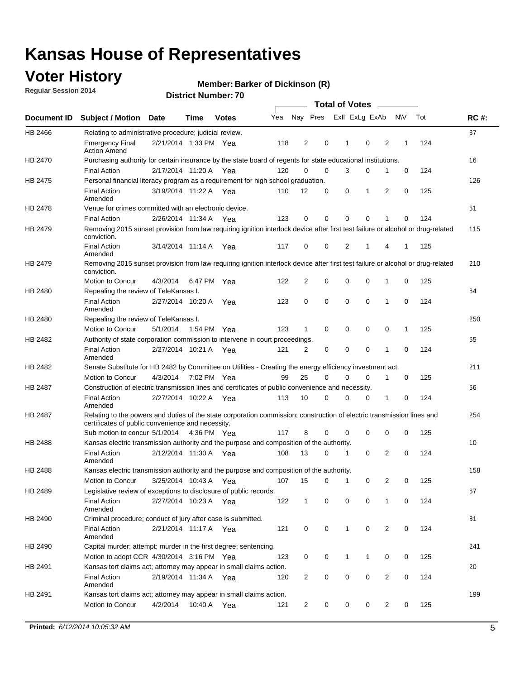### **Voter History**

**Regular Session 2014**

#### **Member: Barker of Dickinson (R)**

|                    |                                                                                                                                                                             |                       |             | <b>Total of Votes</b> |     |                |          |   |              |                |                |              |     |             |
|--------------------|-----------------------------------------------------------------------------------------------------------------------------------------------------------------------------|-----------------------|-------------|-----------------------|-----|----------------|----------|---|--------------|----------------|----------------|--------------|-----|-------------|
| <b>Document ID</b> | <b>Subject / Motion Date</b>                                                                                                                                                |                       | Time        | <b>Votes</b>          | Yea |                | Nay Pres |   |              | Exll ExLg ExAb |                | <b>NV</b>    | Tot | <b>RC#:</b> |
| HB 2466            | Relating to administrative procedure; judicial review.                                                                                                                      |                       |             |                       |     |                |          |   |              |                |                |              |     | 37          |
|                    | <b>Emergency Final</b><br><b>Action Amend</b>                                                                                                                               | 2/21/2014 1:33 PM Yea |             |                       | 118 | 2              | 0        |   | 1            | 0              | 2              | 1            | 124 |             |
| HB 2470            | Purchasing authority for certain insurance by the state board of regents for state educational institutions.                                                                |                       |             |                       |     |                |          |   |              |                |                |              |     | 16          |
|                    | <b>Final Action</b>                                                                                                                                                         | 2/17/2014 11:20 A Yea |             |                       | 120 | 0              | 0        |   | 3            | 0              | 1              | 0            | 124 |             |
| HB 2475            | Personal financial literacy program as a requirement for high school graduation.                                                                                            |                       |             |                       |     |                |          |   |              |                |                |              |     | 126         |
|                    | <b>Final Action</b><br>Amended                                                                                                                                              | 3/19/2014 11:22 A Yea |             |                       | 110 | 12             | 0        |   | 0            | 1              | 2              | $\mathbf 0$  | 125 |             |
| <b>HB 2478</b>     | Venue for crimes committed with an electronic device.                                                                                                                       |                       |             |                       |     |                |          |   |              |                |                |              |     | 51          |
|                    | <b>Final Action</b>                                                                                                                                                         | 2/26/2014 11:34 A     |             | Yea                   | 123 | 0              | 0        |   | $\Omega$     | 0              | 1              | 0            | 124 |             |
| HB 2479            | Removing 2015 sunset provision from law requiring ignition interlock device after first test failure or alcohol or drug-related<br>conviction.                              |                       |             |                       |     |                |          |   |              |                |                |              |     | 115         |
|                    | <b>Final Action</b><br>Amended                                                                                                                                              | 3/14/2014 11:14 A     |             | Yea                   | 117 | 0              | 0        |   | 2            | 1              | 4              | 1            | 125 |             |
| HB 2479            | Removing 2015 sunset provision from law requiring ignition interlock device after first test failure or alcohol or drug-related<br>conviction.                              |                       |             |                       |     |                |          |   |              |                |                |              |     | 210         |
|                    | Motion to Concur                                                                                                                                                            | 4/3/2014              |             | 6:47 PM Yea           | 122 | 2              | 0        |   | 0            | 0              | 1              | 0            | 125 |             |
| HB 2480            | Repealing the review of TeleKansas I.                                                                                                                                       |                       |             |                       |     |                |          |   |              |                |                |              |     | 64          |
|                    | <b>Final Action</b><br>Amended                                                                                                                                              | 2/27/2014 10:20 A Yea |             |                       | 123 | 0              | 0        |   | $\mathbf 0$  | 0              | 1              | 0            | 124 |             |
| HB 2480            | Repealing the review of TeleKansas I.                                                                                                                                       |                       |             |                       |     |                |          |   |              |                |                |              |     | 250         |
|                    | Motion to Concur                                                                                                                                                            | 5/1/2014              | 1:54 PM Yea |                       | 123 | 1              | 0        |   | 0            | 0              | 0              | $\mathbf{1}$ | 125 |             |
| HB 2482            | Authority of state corporation commission to intervene in court proceedings.                                                                                                |                       |             |                       |     |                |          |   |              |                |                |              |     | 65          |
|                    | <b>Final Action</b><br>Amended                                                                                                                                              | 2/27/2014 10:21 A     |             | Yea                   | 121 | 2              | 0        |   | 0            | 0              | 1              | 0            | 124 |             |
| HB 2482            | Senate Substitute for HB 2482 by Committee on Utilities - Creating the energy efficiency investment act.                                                                    |                       |             |                       |     |                |          |   |              |                |                |              |     | 211         |
|                    | Motion to Concur                                                                                                                                                            | 4/3/2014 7:02 PM Yea  |             |                       | 99  | 25             | 0        |   | 0            | 0              | 1              | 0            | 125 |             |
| HB 2487            | Construction of electric transmission lines and certificates of public convenience and necessity.                                                                           |                       |             |                       |     |                |          |   |              |                |                |              |     | 66          |
|                    | <b>Final Action</b><br>Amended                                                                                                                                              | 2/27/2014 10:22 A Yea |             |                       | 113 | 10             | 0        |   | 0            | 0              | 1              | 0            | 124 |             |
| HB 2487            | Relating to the powers and duties of the state corporation commission; construction of electric transmission lines and<br>certificates of public convenience and necessity. |                       |             |                       |     |                |          |   |              |                |                |              |     | 254         |
|                    | Sub motion to concur 5/1/2014 4:36 PM Yea                                                                                                                                   |                       |             |                       | 117 | 8              | 0        |   | 0            | $\mathbf 0$    | 0              | 0            | 125 |             |
| HB 2488            | Kansas electric transmission authority and the purpose and composition of the authority.                                                                                    |                       |             |                       |     |                |          |   |              |                |                |              |     | 10          |
|                    | <b>Final Action</b><br>Amended                                                                                                                                              | 2/12/2014 11:30 A Yea |             |                       | 108 | 13             | 0        |   | 1            | $\mathbf 0$    | 2              | $\mathbf 0$  | 124 |             |
| <b>HB 2488</b>     | Kansas electric transmission authority and the purpose and composition of the authority.                                                                                    |                       |             |                       |     |                |          |   |              |                |                |              |     | 158         |
|                    | <b>Motion to Concur</b>                                                                                                                                                     | 3/25/2014 10:43 A     |             | Yea                   | 107 | 15             | 0        |   | 1            | 0              | 2              | 0            | 125 |             |
| HB 2489            | Legislative review of exceptions to disclosure of public records.                                                                                                           |                       |             |                       |     |                |          |   |              |                |                |              |     | 67          |
|                    | <b>Final Action</b><br>Amended                                                                                                                                              | 2/27/2014 10:23 A Yea |             |                       | 122 | $\mathbf{1}$   |          | 0 | 0            | 0              | 1              | 0            | 124 |             |
| HB 2490            | Criminal procedure; conduct of jury after case is submitted.                                                                                                                |                       |             |                       |     |                |          |   |              |                |                |              |     | 31          |
|                    | <b>Final Action</b><br>Amended                                                                                                                                              | 2/21/2014 11:17 A Yea |             |                       | 121 | 0              | 0        |   | $\mathbf{1}$ | $\mathbf 0$    | $\overline{2}$ | 0            | 124 |             |
| HB 2490            | Capital murder; attempt; murder in the first degree; sentencing.                                                                                                            |                       |             |                       |     |                |          |   |              |                |                |              |     | 241         |
|                    | Motion to adopt CCR 4/30/2014 3:16 PM Yea                                                                                                                                   |                       |             |                       | 123 | 0              | 0        |   | $\mathbf{1}$ | 1              | 0              | 0            | 125 |             |
| HB 2491            | Kansas tort claims act; attorney may appear in small claims action.                                                                                                         |                       |             |                       |     |                |          |   |              |                |                |              |     | 20          |
|                    | <b>Final Action</b><br>Amended                                                                                                                                              | 2/19/2014 11:34 A Yea |             |                       | 120 | $\overline{2}$ | 0        |   | 0            | 0              | 2              | 0            | 124 |             |
| HB 2491            | Kansas tort claims act; attorney may appear in small claims action.                                                                                                         |                       |             |                       |     |                |          |   |              |                |                |              |     | 199         |
|                    | Motion to Concur                                                                                                                                                            | 4/2/2014              |             | 10:40 A Yea           | 121 | $\overline{2}$ |          | 0 | 0            | 0              | $\overline{2}$ | 0            | 125 |             |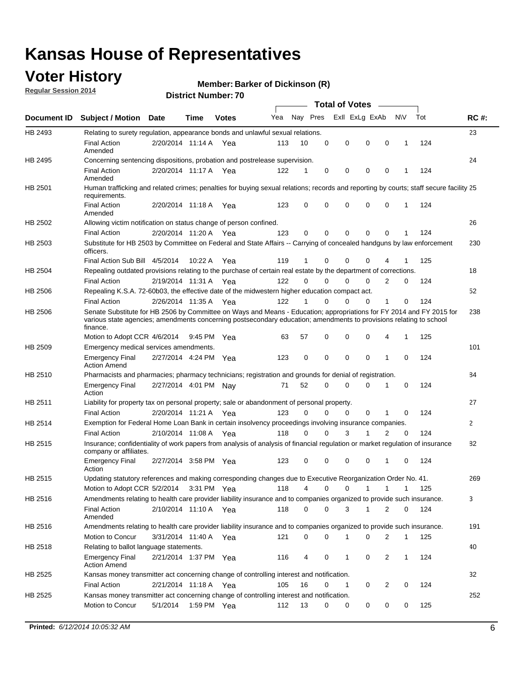### **Voter History**

**Regular Session 2014**

#### **Member: Barker of Dickinson (R)**

|                    |                                                                                                                                                                                                                                                        |                       |             |              |     |          |          | <b>Total of Votes</b> |              |                |              |     |              |
|--------------------|--------------------------------------------------------------------------------------------------------------------------------------------------------------------------------------------------------------------------------------------------------|-----------------------|-------------|--------------|-----|----------|----------|-----------------------|--------------|----------------|--------------|-----|--------------|
| <b>Document ID</b> | <b>Subject / Motion Date</b>                                                                                                                                                                                                                           |                       | Time        | <b>Votes</b> | Yea | Nay Pres |          | Exll ExLg ExAb        |              |                | <b>NV</b>    | Tot | <b>RC#:</b>  |
| HB 2493            | Relating to surety regulation, appearance bonds and unlawful sexual relations.                                                                                                                                                                         |                       |             |              |     |          |          |                       |              |                |              |     | 23           |
|                    | <b>Final Action</b><br>Amended                                                                                                                                                                                                                         | 2/20/2014 11:14 A     |             | Yea          | 113 | 10       | 0        | 0                     | $\mathbf 0$  | 0              | $\mathbf 1$  | 124 |              |
| HB 2495            | Concerning sentencing dispositions, probation and postrelease supervision.                                                                                                                                                                             |                       |             |              |     |          |          |                       |              |                |              |     | 24           |
|                    | <b>Final Action</b><br>Amended                                                                                                                                                                                                                         | 2/20/2014 11:17 A Yea |             |              | 122 | 1        | 0        | 0                     | $\mathbf 0$  | $\mathbf 0$    | -1           | 124 |              |
| HB 2501            | Human trafficking and related crimes; penalties for buying sexual relations; records and reporting by courts; staff secure facility 25<br>requirements.                                                                                                |                       |             |              |     |          |          |                       |              |                |              |     |              |
|                    | <b>Final Action</b><br>Amended                                                                                                                                                                                                                         | 2/20/2014 11:18 A Yea |             |              | 123 | $\Omega$ | 0        | 0                     | $\Omega$     | $\mathbf 0$    | 1            | 124 |              |
| HB 2502            | Allowing victim notification on status change of person confined.                                                                                                                                                                                      |                       |             |              |     |          |          |                       |              |                |              |     | 26           |
|                    | <b>Final Action</b>                                                                                                                                                                                                                                    | 2/20/2014 11:20 A Yea |             |              | 123 | $\Omega$ | 0        | $\mathbf{0}$          | $\Omega$     | $\Omega$       |              | 124 |              |
| HB 2503            | Substitute for HB 2503 by Committee on Federal and State Affairs -- Carrying of concealed handguns by law enforcement<br>officers.                                                                                                                     |                       |             |              |     |          |          |                       |              |                |              |     | 230          |
|                    | Final Action Sub Bill 4/5/2014                                                                                                                                                                                                                         |                       | 10:22 A     | Yea          | 119 |          | 0        | 0                     | 0            | 4              |              | 125 |              |
| HB 2504            | Repealing outdated provisions relating to the purchase of certain real estate by the department of corrections.                                                                                                                                        |                       |             |              |     |          |          |                       |              |                |              |     | 18           |
|                    | <b>Final Action</b>                                                                                                                                                                                                                                    | 2/19/2014 11:31 A Yea |             |              | 122 | $\Omega$ | $\Omega$ | 0                     | $\mathbf{0}$ | $\overline{2}$ | 0            | 124 |              |
| HB 2506            | Repealing K.S.A. 72-60b03, the effective date of the midwestern higher education compact act.                                                                                                                                                          |                       |             |              |     |          |          |                       |              |                |              |     | 52           |
|                    | <b>Final Action</b>                                                                                                                                                                                                                                    | 2/26/2014 11:35 A Yea |             |              | 122 |          | $\Omega$ | 0                     | 0            | 1              | 0            | 124 |              |
| HB 2506            | Senate Substitute for HB 2506 by Committee on Ways and Means - Education; appropriations for FY 2014 and FY 2015 for<br>various state agencies; amendments concerning postsecondary education; amendments to provisions relating to school<br>finance. |                       |             |              |     |          |          |                       |              |                |              |     | 238          |
|                    | Motion to Adopt CCR 4/6/2014                                                                                                                                                                                                                           |                       | 9:45 PM Yea |              | 63  | 57       | 0        | 0                     | 0            | 4              | -1           | 125 |              |
| HB 2509            | Emergency medical services amendments.                                                                                                                                                                                                                 |                       |             |              |     |          |          |                       |              |                |              |     | 101          |
|                    | Emergency Final<br><b>Action Amend</b>                                                                                                                                                                                                                 | 2/27/2014 4:24 PM Yea |             |              | 123 | 0        | 0        | $\mathbf 0$           | 0            | 1              | 0            | 124 |              |
| HB 2510            | Pharmacists and pharmacies; pharmacy technicians; registration and grounds for denial of registration.                                                                                                                                                 |                       |             |              |     |          |          |                       |              |                |              |     | 84           |
|                    | <b>Emergency Final</b><br>Action                                                                                                                                                                                                                       | 2/27/2014 4:01 PM Nay |             |              | 71  | 52       | 0        | 0                     | 0            | 1              | 0            | 124 |              |
| HB 2511            | Liability for property tax on personal property; sale or abandonment of personal property.                                                                                                                                                             |                       |             |              |     |          |          |                       |              |                |              |     | 27           |
|                    | <b>Final Action</b>                                                                                                                                                                                                                                    | 2/20/2014 11:21 A     |             | Yea          | 123 | $\Omega$ | $\Omega$ | 0                     | 0            | 1              | 0            | 124 |              |
| HB 2514            | Exemption for Federal Home Loan Bank in certain insolvency proceedings involving insurance companies.                                                                                                                                                  |                       |             |              |     |          |          |                       |              |                |              |     | $\mathbf{2}$ |
|                    | <b>Final Action</b>                                                                                                                                                                                                                                    | 2/10/2014 11:08 A     |             | Yea          | 118 | $\Omega$ | $\Omega$ | 3                     | 1            | 2              | $\mathbf 0$  | 124 |              |
| HB 2515            | Insurance; confidentiality of work papers from analysis of analysis of financial regulation or market regulation of insurance<br>company or affiliates.                                                                                                |                       |             |              |     |          |          |                       |              |                |              |     | 82           |
|                    | <b>Emergency Final</b><br>Action                                                                                                                                                                                                                       | 2/27/2014 3:58 PM Yea |             |              | 123 | 0        | 0        | 0                     | 0            | 1              | 0            | 124 |              |
| HB 2515            | Updating statutory references and making corresponding changes due to Executive Reorganization Order No. 41.                                                                                                                                           |                       |             |              |     |          |          |                       |              |                |              |     | 269          |
|                    | Motion to Adopt CCR 5/2/2014 3:31 PM Yea                                                                                                                                                                                                               |                       |             |              | 118 | 4        | 0        | 0                     | $\mathbf{1}$ | $\mathbf{1}$   | $\mathbf{1}$ | 125 |              |
| HB 2516            | Amendments relating to health care provider liability insurance and to companies organized to provide such insurance.                                                                                                                                  |                       |             |              |     |          |          |                       |              |                |              |     | 3            |
|                    | <b>Final Action</b><br>Amended                                                                                                                                                                                                                         | 2/10/2014 11:10 A Yea |             |              | 118 | 0        | 0        | 3                     | 1            | 2              | 0            | 124 |              |
| HB 2516            | Amendments relating to health care provider liability insurance and to companies organized to provide such insurance.                                                                                                                                  |                       |             |              |     |          |          |                       |              |                |              |     | 191          |
|                    | Motion to Concur                                                                                                                                                                                                                                       | 3/31/2014 11:40 A Yea |             |              | 121 | 0        | 0        | 1                     | 0            | 2              | $\mathbf{1}$ | 125 |              |
| HB 2518            | Relating to ballot language statements.                                                                                                                                                                                                                |                       |             |              |     |          |          |                       |              |                |              |     | 40           |
|                    | Emergency Final<br><b>Action Amend</b>                                                                                                                                                                                                                 | 2/21/2014 1:37 PM Yea |             |              | 116 | 4        | 0        | 1                     | 0            | 2              | 1            | 124 |              |
| HB 2525            | Kansas money transmitter act concerning change of controlling interest and notification.                                                                                                                                                               |                       |             |              |     |          |          |                       |              |                |              |     | 32           |
|                    | <b>Final Action</b>                                                                                                                                                                                                                                    | 2/21/2014 11:18 A Yea |             |              | 105 | 16       | 0        | $\mathbf{1}$          | 0            | 2              | 0            | 124 |              |
| HB 2525            | Kansas money transmitter act concerning change of controlling interest and notification.                                                                                                                                                               |                       |             |              |     |          |          |                       |              |                |              |     | 252          |
|                    | Motion to Concur                                                                                                                                                                                                                                       | 5/1/2014              |             | 1:59 PM Yea  | 112 | 13       | 0        | 0                     | 0            | 0              | 0            | 125 |              |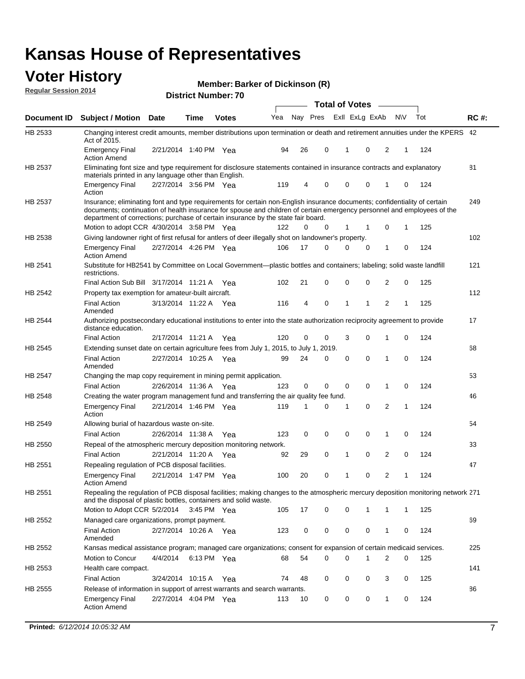#### **Voter History Regular Session 2014**

|  |  | Member: Barker of Dickinson (R) |  |
|--|--|---------------------------------|--|
|--|--|---------------------------------|--|

|                |                                                                                                                                                                                                                                                                                                                                           |                       |             | ט ו וטעווווט <del>כ</del> ו ועו |     |    |             | <b>Total of Votes</b> |                |              |   |     |             |
|----------------|-------------------------------------------------------------------------------------------------------------------------------------------------------------------------------------------------------------------------------------------------------------------------------------------------------------------------------------------|-----------------------|-------------|---------------------------------|-----|----|-------------|-----------------------|----------------|--------------|---|-----|-------------|
| Document ID    | <b>Subject / Motion Date</b>                                                                                                                                                                                                                                                                                                              |                       | Time        | <b>Votes</b>                    | Yea |    | Nay Pres    |                       | Exll ExLg ExAb | N\V          |   | Tot | <b>RC#:</b> |
| HB 2533        | Changing interest credit amounts, member distributions upon termination or death and retirement annuities under the KPERS 42<br>Act of 2015.                                                                                                                                                                                              |                       |             |                                 |     |    |             |                       |                |              |   |     |             |
|                | <b>Emergency Final</b><br><b>Action Amend</b>                                                                                                                                                                                                                                                                                             | 2/21/2014 1:40 PM Yea |             |                                 | 94  | 26 | 0           | $\mathbf{1}$          | 0              | 2            | 1 | 124 |             |
| HB 2537        | Eliminating font size and type requirement for disclosure statements contained in insurance contracts and explanatory<br>materials printed in any language other than English.                                                                                                                                                            |                       |             |                                 |     |    |             |                       |                |              |   |     | 81          |
|                | <b>Emergency Final</b><br>Action                                                                                                                                                                                                                                                                                                          | 2/27/2014 3:56 PM Yea |             |                                 | 119 | 4  | 0           | 0                     | 0              | 1            | 0 | 124 |             |
| HB 2537        | Insurance; eliminating font and type requirements for certain non-English insurance documents; confidentiality of certain<br>documents; continuation of health insurance for spouse and children of certain emergency personnel and employees of the<br>department of corrections; purchase of certain insurance by the state fair board. |                       |             |                                 |     |    |             |                       |                |              |   |     | 249         |
|                | Motion to adopt CCR 4/30/2014 3:58 PM Yea                                                                                                                                                                                                                                                                                                 |                       |             |                                 | 122 | 0  | 0           | 1                     | -1             | 0            | 1 | 125 |             |
| HB 2538        | Giving landowner right of first refusal for antlers of deer illegally shot on landowner's property.                                                                                                                                                                                                                                       |                       |             |                                 |     |    |             |                       |                |              |   |     | 102         |
|                | <b>Emergency Final</b><br><b>Action Amend</b>                                                                                                                                                                                                                                                                                             | 2/27/2014 4:26 PM Yea |             |                                 | 106 | 17 | 0           | 0                     | 0              | 1            | 0 | 124 |             |
| HB 2541        | Substitute for HB2541 by Committee on Local Government—plastic bottles and containers; labeling; solid waste landfill<br>restrictions.                                                                                                                                                                                                    |                       |             |                                 |     |    |             |                       |                |              |   |     | 121         |
|                | Final Action Sub Bill 3/17/2014 11:21 A Yea                                                                                                                                                                                                                                                                                               |                       |             |                                 | 102 | 21 | 0           | $\mathbf 0$           | 0              | 2            | 0 | 125 |             |
| HB 2542        | Property tax exemption for amateur-built aircraft.<br><b>Final Action</b>                                                                                                                                                                                                                                                                 | 3/13/2014 11:22 A Yea |             |                                 | 116 | 4  | 0           | $\mathbf{1}$          | 1              | 2            | 1 | 125 | 112         |
| HB 2544        | Amended<br>Authorizing postsecondary educational institutions to enter into the state authorization reciprocity agreement to provide<br>distance education.                                                                                                                                                                               |                       |             |                                 |     |    |             |                       |                |              |   |     | 17          |
|                | <b>Final Action</b>                                                                                                                                                                                                                                                                                                                       | 2/17/2014 11:21 A Yea |             |                                 | 120 | 0  | 0           | 3                     | 0              | 1            | 0 | 124 |             |
| HB 2545        | Extending sunset date on certain agriculture fees from July 1, 2015, to July 1, 2019.                                                                                                                                                                                                                                                     |                       |             |                                 |     |    |             |                       |                |              |   |     | 68          |
|                | <b>Final Action</b><br>Amended                                                                                                                                                                                                                                                                                                            | 2/27/2014 10:25 A Yea |             |                                 | 99  | 24 | 0           | $\mathbf 0$           | $\Omega$       | 1            | 0 | 124 |             |
| <b>HB 2547</b> | Changing the map copy requirement in mining permit application.                                                                                                                                                                                                                                                                           |                       |             |                                 |     |    |             |                       |                |              |   |     | 53          |
|                | <b>Final Action</b>                                                                                                                                                                                                                                                                                                                       | 2/26/2014 11:36 A     |             | Yea                             | 123 | 0  | 0           | 0                     | 0              | 1            | 0 | 124 |             |
| HB 2548        | Creating the water program management fund and transferring the air quality fee fund.                                                                                                                                                                                                                                                     |                       |             |                                 |     |    |             |                       |                |              |   |     | 46          |
|                | <b>Emergency Final</b><br>Action                                                                                                                                                                                                                                                                                                          | 2/21/2014 1:46 PM Yea |             |                                 | 119 | 1  | 0           | 1                     | 0              | 2            | 1 | 124 |             |
| HB 2549        | Allowing burial of hazardous waste on-site.                                                                                                                                                                                                                                                                                               |                       |             |                                 |     |    |             |                       |                |              |   |     | 54          |
|                | <b>Final Action</b>                                                                                                                                                                                                                                                                                                                       | 2/26/2014 11:38 A     |             | Yea                             | 123 | 0  | $\mathbf 0$ | 0                     | 0              | 1            | 0 | 124 |             |
| HB 2550        | Repeal of the atmospheric mercury deposition monitoring network.                                                                                                                                                                                                                                                                          |                       |             |                                 |     |    |             |                       |                |              |   |     | 33          |
|                | <b>Final Action</b>                                                                                                                                                                                                                                                                                                                       | 2/21/2014 11:20 A Yea |             |                                 | 92  | 29 | 0           | 1                     | 0              | 2            | 0 | 124 |             |
| HB 2551        | Repealing regulation of PCB disposal facilities.                                                                                                                                                                                                                                                                                          |                       |             |                                 |     |    |             |                       |                |              |   |     | 47          |
|                | <b>Emergency Final</b><br>Action Amend                                                                                                                                                                                                                                                                                                    | 2/21/2014 1:47 PM Yea |             |                                 | 100 | 20 | 0           | 1                     | 0              | 2            | 1 | 124 |             |
| HB 2551        | Repealing the regulation of PCB disposal facilities; making changes to the atmospheric mercury deposition monitoring network 271<br>and the disposal of plastic bottles, containers and solid waste.                                                                                                                                      |                       |             |                                 |     |    |             |                       |                |              |   |     |             |
|                | Motion to Adopt CCR 5/2/2014 3:45 PM Yea                                                                                                                                                                                                                                                                                                  |                       |             |                                 | 105 | 17 | 0           | 0                     | 1              | 1            | 1 | 125 |             |
| HB 2552        | Managed care organizations, prompt payment.                                                                                                                                                                                                                                                                                               |                       |             |                                 |     |    |             |                       |                |              |   |     | 69          |
|                | <b>Final Action</b><br>Amended                                                                                                                                                                                                                                                                                                            | 2/27/2014 10:26 A Yea |             |                                 | 123 | 0  | 0           | 0                     | 0              | 1            | 0 | 124 |             |
| HB 2552        | Kansas medical assistance program; managed care organizations; consent for expansion of certain medicaid services.                                                                                                                                                                                                                        |                       |             |                                 |     |    |             |                       |                |              |   |     | 225         |
|                | Motion to Concur                                                                                                                                                                                                                                                                                                                          | 4/4/2014              | 6:13 PM Yea |                                 | 68  | 54 | 0           | 0                     | 1              | 2            | 0 | 125 |             |
| HB 2553        | Health care compact.                                                                                                                                                                                                                                                                                                                      |                       |             |                                 |     |    |             |                       |                |              |   |     | 141         |
|                | <b>Final Action</b>                                                                                                                                                                                                                                                                                                                       | 3/24/2014 10:15 A Yea |             |                                 | 74  | 48 | 0           | 0                     | 0              | 3            | 0 | 125 |             |
| HB 2555        | Release of information in support of arrest warrants and search warrants.                                                                                                                                                                                                                                                                 |                       |             |                                 |     |    |             |                       |                |              |   |     | 86          |
|                | <b>Emergency Final</b><br><b>Action Amend</b>                                                                                                                                                                                                                                                                                             | 2/27/2014 4:04 PM Yea |             |                                 | 113 | 10 | 0           | 0                     | 0              | $\mathbf{1}$ | 0 | 124 |             |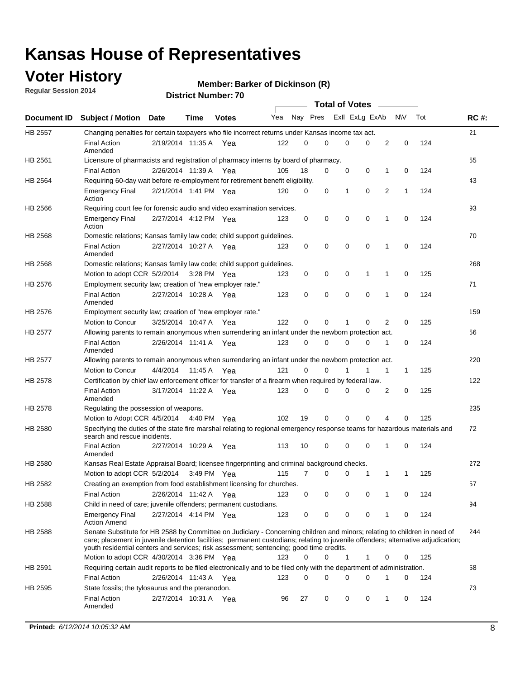### **Voter History**

**Regular Session 2014**

#### **Member: Barker of Dickinson (R)**

|                |                                                                                                                                                                                                                                                                                                                                                           |                       |             | <b>DISUILLINUIIINGI.</b> |     |          |          | <b>Total of Votes</b> |             |   |              |     |             |
|----------------|-----------------------------------------------------------------------------------------------------------------------------------------------------------------------------------------------------------------------------------------------------------------------------------------------------------------------------------------------------------|-----------------------|-------------|--------------------------|-----|----------|----------|-----------------------|-------------|---|--------------|-----|-------------|
| Document ID    | <b>Subject / Motion Date</b>                                                                                                                                                                                                                                                                                                                              |                       | <b>Time</b> | <b>Votes</b>             | Yea | Nay Pres |          | Exll ExLg ExAb        |             |   | N\V          | Tot | <b>RC#:</b> |
| <b>HB 2557</b> | Changing penalties for certain taxpayers who file incorrect returns under Kansas income tax act.                                                                                                                                                                                                                                                          |                       |             |                          |     |          |          |                       |             |   |              |     | 21          |
|                | <b>Final Action</b><br>Amended                                                                                                                                                                                                                                                                                                                            | 2/19/2014 11:35 A Yea |             |                          | 122 | 0        | $\Omega$ | 0                     | $\mathbf 0$ | 2 | 0            | 124 |             |
| HB 2561        | Licensure of pharmacists and registration of pharmacy interns by board of pharmacy.                                                                                                                                                                                                                                                                       |                       |             |                          |     |          |          |                       |             |   |              |     | 55          |
|                | <b>Final Action</b>                                                                                                                                                                                                                                                                                                                                       | 2/26/2014 11:39 A     |             | Yea                      | 105 | 18       | 0        | 0                     | $\mathbf 0$ | 1 | 0            | 124 |             |
| HB 2564        | Requiring 60-day wait before re-employment for retirement benefit eligibility.                                                                                                                                                                                                                                                                            |                       |             |                          |     |          |          |                       |             |   |              |     | 43          |
|                | <b>Emergency Final</b><br>Action                                                                                                                                                                                                                                                                                                                          | 2/21/2014 1:41 PM Yea |             |                          | 120 | 0        | 0        | 1                     | $\mathbf 0$ | 2 | $\mathbf{1}$ | 124 |             |
| HB 2566        | Requiring court fee for forensic audio and video examination services.                                                                                                                                                                                                                                                                                    |                       |             |                          |     |          |          |                       |             |   |              |     | 93          |
|                | <b>Emergency Final</b><br>Action                                                                                                                                                                                                                                                                                                                          | 2/27/2014 4:12 PM Yea |             |                          | 123 | 0        | 0        | 0                     | 0           | 1 | 0            | 124 |             |
| HB 2568        | Domestic relations; Kansas family law code; child support guidelines.                                                                                                                                                                                                                                                                                     |                       |             |                          |     |          |          |                       |             |   |              |     | 70          |
|                | <b>Final Action</b><br>Amended                                                                                                                                                                                                                                                                                                                            | 2/27/2014 10:27 A Yea |             |                          | 123 | 0        | 0        | 0                     | $\mathbf 0$ | 1 | $\mathbf 0$  | 124 |             |
| HB 2568        | Domestic relations; Kansas family law code; child support guidelines.                                                                                                                                                                                                                                                                                     |                       |             |                          |     |          |          |                       |             |   |              |     | 268         |
|                | Motion to adopt CCR 5/2/2014                                                                                                                                                                                                                                                                                                                              |                       | 3:28 PM Yea |                          | 123 | 0        | 0        | 0                     | 1           | 1 | 0            | 125 |             |
| HB 2576        | Employment security law; creation of "new employer rate."                                                                                                                                                                                                                                                                                                 |                       |             |                          |     |          |          |                       |             |   |              |     | 71          |
|                | <b>Final Action</b><br>Amended                                                                                                                                                                                                                                                                                                                            | 2/27/2014 10:28 A Yea |             |                          | 123 | 0        | 0        | $\mathbf 0$           | $\mathbf 0$ | 1 | 0            | 124 |             |
| HB 2576        | Employment security law; creation of "new employer rate."                                                                                                                                                                                                                                                                                                 |                       |             |                          |     |          |          |                       |             |   |              |     | 159         |
|                | Motion to Concur                                                                                                                                                                                                                                                                                                                                          | 3/25/2014 10:47 A     |             | Yea                      | 122 | $\Omega$ | 0        | 1                     | $\Omega$    | 2 | 0            | 125 |             |
| <b>HB 2577</b> | Allowing parents to remain anonymous when surrendering an infant under the newborn protection act.                                                                                                                                                                                                                                                        |                       |             |                          |     |          |          |                       |             |   |              |     | 56          |
|                | <b>Final Action</b><br>Amended                                                                                                                                                                                                                                                                                                                            | 2/26/2014 11:41 A Yea |             |                          | 123 | 0        | 0        | 0                     | 0           | 1 | 0            | 124 |             |
| HB 2577        | Allowing parents to remain anonymous when surrendering an infant under the newborn protection act.                                                                                                                                                                                                                                                        |                       |             |                          |     |          |          |                       |             |   |              |     | 220         |
|                | <b>Motion to Concur</b>                                                                                                                                                                                                                                                                                                                                   | 4/4/2014              | 11:45 A     | Yea                      | 121 | $\Omega$ | 0        |                       | 1           | 1 | $\mathbf{1}$ | 125 |             |
| HB 2578        | Certification by chief law enforcement officer for transfer of a firearm when required by federal law.                                                                                                                                                                                                                                                    |                       |             |                          |     |          |          |                       |             |   |              |     | 122         |
|                | <b>Final Action</b><br>Amended                                                                                                                                                                                                                                                                                                                            | 3/17/2014 11:22 A Yea |             |                          | 123 | 0        | 0        | 0                     | 0           | 2 | 0            | 125 |             |
| HB 2578        | Regulating the possession of weapons.                                                                                                                                                                                                                                                                                                                     |                       |             |                          |     |          |          |                       |             |   |              |     | 235         |
|                | Motion to Adopt CCR 4/5/2014 4:40 PM Yea                                                                                                                                                                                                                                                                                                                  |                       |             |                          | 102 | 19       | 0        | $\mathbf 0$           | $\mathbf 0$ | 4 | 0            | 125 |             |
| HB 2580        | Specifying the duties of the state fire marshal relating to regional emergency response teams for hazardous materials and<br>search and rescue incidents.                                                                                                                                                                                                 |                       |             |                          |     |          |          |                       |             |   |              |     | 72          |
|                | <b>Final Action</b><br>Amended                                                                                                                                                                                                                                                                                                                            | 2/27/2014 10:29 A     |             | Yea                      | 113 | 10       | 0        | 0                     | 0           | 1 | 0            | 124 |             |
| HB 2580        | Kansas Real Estate Appraisal Board; licensee fingerprinting and criminal background checks.                                                                                                                                                                                                                                                               |                       |             |                          |     |          |          |                       |             |   |              |     | 272         |
|                | Motion to adopt CCR 5/2/2014 3:49 PM Yea                                                                                                                                                                                                                                                                                                                  |                       |             |                          | 115 | 7        | 0        | 0                     | 1           | 1 | $\mathbf{1}$ | 125 |             |
| HB 2582        | Creating an exemption from food establishment licensing for churches.                                                                                                                                                                                                                                                                                     |                       |             |                          |     |          |          |                       |             |   |              |     | 57          |
|                | <b>Final Action</b>                                                                                                                                                                                                                                                                                                                                       | 2/26/2014 11:42 A Yea |             |                          | 123 | 0        | 0        | 0                     | 0           | 1 | 0            | 124 |             |
| HB 2588        | Child in need of care; juvenile offenders; permanent custodians.                                                                                                                                                                                                                                                                                          |                       |             |                          |     |          |          |                       |             |   |              |     | 94          |
|                | <b>Emergency Final</b><br><b>Action Amend</b>                                                                                                                                                                                                                                                                                                             | 2/27/2014 4:14 PM Yea |             |                          | 123 | 0        | 0        | 0                     | 0           | 1 | 0            | 124 |             |
| HB 2588        | Senate Substitute for HB 2588 by Committee on Judiciary - Concerning children and minors; relating to children in need of<br>care; placement in juvenile detention facilities; permanent custodians; relating to juvenile offenders; alternative adjudication;<br>youth residential centers and services; risk assessment; sentencing; good time credits. |                       |             |                          |     |          |          |                       |             |   |              |     | 244         |
|                | Motion to adopt CCR 4/30/2014 3:36 PM Yea                                                                                                                                                                                                                                                                                                                 |                       |             |                          | 123 | 0        | 0        | 1                     | 1           | 0 | 0            | 125 |             |
| HB 2591        | Requiring certain audit reports to be filed electronically and to be filed only with the department of administration.                                                                                                                                                                                                                                    |                       |             |                          |     |          |          |                       |             |   |              |     | 58          |
|                | <b>Final Action</b>                                                                                                                                                                                                                                                                                                                                       | 2/26/2014 11:43 A Yea |             |                          | 123 | 0        | 0        | 0                     | 0           | 1 | 0            | 124 |             |
| HB 2595        | State fossils; the tylosaurus and the pteranodon.                                                                                                                                                                                                                                                                                                         |                       |             |                          |     |          |          |                       |             |   |              |     | 73          |
|                | <b>Final Action</b><br>Amended                                                                                                                                                                                                                                                                                                                            | 2/27/2014 10:31 A Yea |             |                          | 96  | 27       | 0        | 0                     | 0           | 1 | 0            | 124 |             |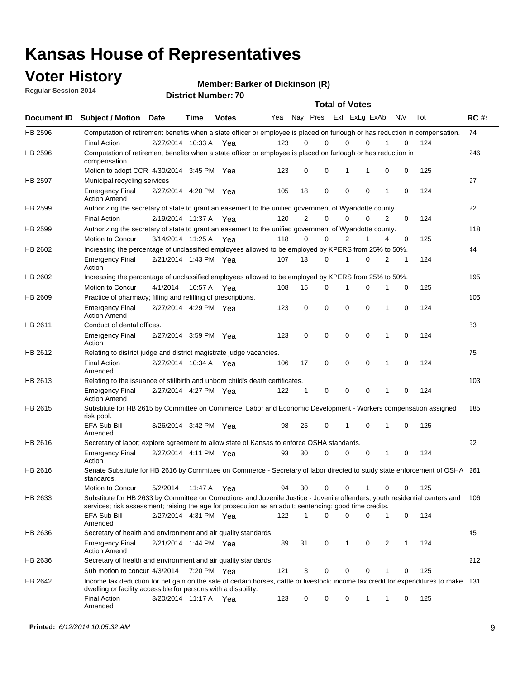### **Voter History**

**Regular Session 2014**

**Member: Barker of Dickinson (R)** 

|                    |                                                                                                                                                                                                                                       |                       |             | <b>DISTRICT MAILINGLY</b> |     |                |             | <b>Total of Votes</b> |             |                |              |           |     |             |
|--------------------|---------------------------------------------------------------------------------------------------------------------------------------------------------------------------------------------------------------------------------------|-----------------------|-------------|---------------------------|-----|----------------|-------------|-----------------------|-------------|----------------|--------------|-----------|-----|-------------|
| <b>Document ID</b> | <b>Subject / Motion</b>                                                                                                                                                                                                               | <b>Date</b>           | Time        | <b>Votes</b>              | Yea |                | Nay Pres    |                       |             | Exll ExLg ExAb |              | <b>NV</b> | Tot | <b>RC#:</b> |
| HB 2596            | Computation of retirement benefits when a state officer or employee is placed on furlough or has reduction in compensation.                                                                                                           |                       |             |                           |     |                |             |                       |             |                |              |           |     | 74          |
|                    | <b>Final Action</b>                                                                                                                                                                                                                   | 2/27/2014 10:33 A     |             | Yea                       | 123 | 0              | 0           |                       | 0           | $\Omega$       |              | 0         | 124 |             |
| HB 2596            | Computation of retirement benefits when a state officer or employee is placed on furlough or has reduction in<br>compensation.                                                                                                        |                       |             |                           |     |                |             |                       |             |                |              |           |     | 246         |
|                    | Motion to adopt CCR 4/30/2014 3:45 PM Yea                                                                                                                                                                                             |                       |             |                           | 123 | 0              | 0           |                       | 1           | 1              | 0            | 0         | 125 |             |
| HB 2597            | Municipal recycling services                                                                                                                                                                                                          |                       |             |                           |     |                |             |                       |             |                |              |           |     | 97          |
|                    | <b>Emergency Final</b><br><b>Action Amend</b>                                                                                                                                                                                         | 2/27/2014 4:20 PM Yea |             |                           | 105 | 18             | $\mathbf 0$ |                       | $\mathbf 0$ | 0              | 1            | 0         | 124 |             |
| HB 2599            | Authorizing the secretary of state to grant an easement to the unified government of Wyandotte county.                                                                                                                                |                       |             |                           |     |                |             |                       |             |                |              |           |     | 22          |
|                    | <b>Final Action</b>                                                                                                                                                                                                                   | 2/19/2014 11:37 A     |             | Yea                       | 120 | $\overline{2}$ | 0           |                       | $\mathbf 0$ | $\Omega$       | 2            | 0         | 124 |             |
| HB 2599            | Authorizing the secretary of state to grant an easement to the unified government of Wyandotte county.                                                                                                                                |                       |             |                           |     |                |             |                       |             |                |              |           |     | 118         |
|                    | Motion to Concur                                                                                                                                                                                                                      | 3/14/2014 11:25 A Yea |             |                           | 118 | $\Omega$       | 0           |                       | 2           | 1              | 4            | 0         | 125 |             |
| HB 2602            | Increasing the percentage of unclassified employees allowed to be employed by KPERS from 25% to 50%.                                                                                                                                  |                       |             |                           |     |                |             |                       |             |                |              |           |     | 44          |
|                    | <b>Emergency Final</b><br>Action                                                                                                                                                                                                      | 2/21/2014 1:43 PM Yea |             |                           | 107 | 13             | 0           |                       | 1           | $\Omega$       | 2            | 1         | 124 |             |
| HB 2602            | Increasing the percentage of unclassified employees allowed to be employed by KPERS from 25% to 50%.                                                                                                                                  |                       |             |                           |     |                |             |                       |             |                |              |           |     | 195         |
|                    | Motion to Concur                                                                                                                                                                                                                      | 4/1/2014              | 10:57 A Yea |                           | 108 | 15             | 0           |                       | 1           | 0              | 1            | 0         | 125 |             |
| HB 2609            | Practice of pharmacy; filling and refilling of prescriptions.                                                                                                                                                                         |                       |             |                           |     |                |             |                       |             |                |              |           |     | 105         |
|                    | <b>Emergency Final</b><br><b>Action Amend</b>                                                                                                                                                                                         | 2/27/2014 4:29 PM Yea |             |                           | 123 | 0              | $\mathbf 0$ |                       | $\mathbf 0$ | 0              | 1            | 0         | 124 |             |
| HB 2611            | Conduct of dental offices.                                                                                                                                                                                                            |                       |             |                           |     |                |             |                       |             |                |              |           |     | 83          |
|                    | <b>Emergency Final</b><br>Action                                                                                                                                                                                                      | 2/27/2014 3:59 PM Yea |             |                           | 123 | $\mathbf 0$    | $\mathbf 0$ |                       | $\mathbf 0$ | 0              | $\mathbf{1}$ | 0         | 124 |             |
| HB 2612            | Relating to district judge and district magistrate judge vacancies.                                                                                                                                                                   |                       |             |                           |     |                |             |                       |             |                |              |           |     | 75          |
|                    | <b>Final Action</b><br>Amended                                                                                                                                                                                                        | 2/27/2014 10:34 A     |             | Yea                       | 106 | 17             | 0           |                       | $\mathbf 0$ | 0              | 1            | 0         | 124 |             |
| HB 2613            | Relating to the issuance of stillbirth and unborn child's death certificates.                                                                                                                                                         |                       |             |                           |     |                |             |                       |             |                |              |           |     | 103         |
|                    | <b>Emergency Final</b><br><b>Action Amend</b>                                                                                                                                                                                         | 2/27/2014 4:27 PM Yea |             |                           | 122 | 1              | 0           |                       | $\mathbf 0$ | 0              | $\mathbf{1}$ | 0         | 124 |             |
| HB 2615            | Substitute for HB 2615 by Committee on Commerce, Labor and Economic Development - Workers compensation assigned<br>risk pool.                                                                                                         |                       |             |                           |     |                |             |                       |             |                |              |           |     | 185         |
|                    | <b>EFA Sub Bill</b><br>Amended                                                                                                                                                                                                        | 3/26/2014 3:42 PM Yea |             |                           | 98  | 25             | 0           |                       | 1           | 0              | 1            | 0         | 125 |             |
| HB 2616            | Secretary of labor; explore agreement to allow state of Kansas to enforce OSHA standards.                                                                                                                                             |                       |             |                           |     |                |             |                       |             |                |              |           |     | 92          |
|                    | <b>Emergency Final</b><br>Action                                                                                                                                                                                                      | 2/27/2014 4:11 PM Yea |             |                           | 93  | 30             | 0           |                       | 0           | 0              | 1            | 0         | 124 |             |
| HB 2616            | Senate Substitute for HB 2616 by Committee on Commerce - Secretary of labor directed to study state enforcement of OSHA 261<br>standards.                                                                                             |                       |             |                           |     |                |             |                       |             |                |              |           |     |             |
|                    | <b>Motion to Concur</b>                                                                                                                                                                                                               | 5/2/2014              | 11:47 A Yea |                           | 94  | 30             | 0           |                       | 0           |                | 0            | 0         | 125 |             |
| HB 2633            | Substitute for HB 2633 by Committee on Corrections and Juvenile Justice - Juvenile offenders; youth residential centers and<br>services; risk assessment; raising the age for prosecution as an adult; sentencing; good time credits. |                       |             |                           |     |                |             |                       |             |                |              |           |     | 106         |
|                    | <b>EFA Sub Bill</b><br>Amended                                                                                                                                                                                                        | 2/27/2014 4:31 PM Yea |             |                           | 122 | 1              | 0           |                       | $\mathbf 0$ | 0              | $\mathbf{1}$ | 0         | 124 |             |
| HB 2636            | Secretary of health and environment and air quality standards.                                                                                                                                                                        |                       |             |                           |     |                |             |                       |             |                |              |           |     | 45          |
|                    | <b>Emergency Final</b><br><b>Action Amend</b>                                                                                                                                                                                         | 2/21/2014 1:44 PM Yea |             |                           | 89  | 31             | 0           |                       | 1           | 0              | 2            | 1         | 124 |             |
| HB 2636            | Secretary of health and environment and air quality standards.                                                                                                                                                                        |                       |             |                           |     |                |             |                       |             |                |              |           |     | 212         |
|                    | Sub motion to concur 4/3/2014 7:20 PM Yea                                                                                                                                                                                             |                       |             |                           | 121 | 3              | 0           |                       | 0           | 0              |              | 0         | 125 |             |
| HB 2642            | Income tax deduction for net gain on the sale of certain horses, cattle or livestock; income tax credit for expenditures to make 131<br>dwelling or facility accessible for persons with a disability.                                |                       |             |                           |     |                |             |                       |             |                |              |           |     |             |
|                    | <b>Final Action</b><br>Amended                                                                                                                                                                                                        | 3/20/2014 11:17 A Yea |             |                           | 123 | 0              | 0           |                       | 0           | 1              | 1            | 0         | 125 |             |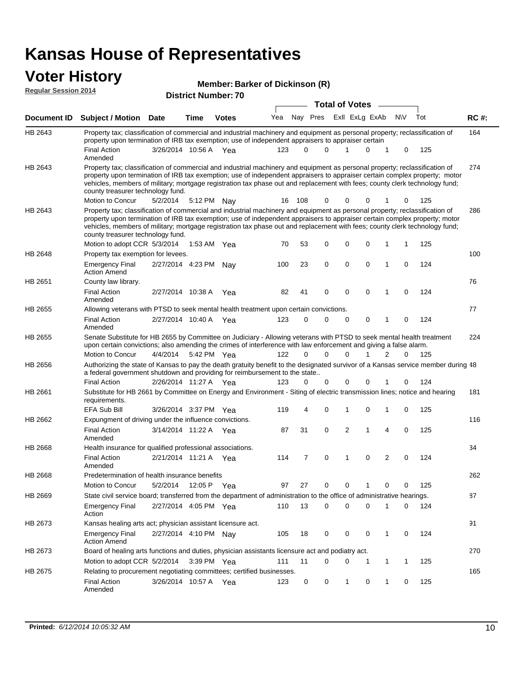#### **Voter History**

| <b>Regular Session 2014</b> | <b>VULGE LIBLUI Y</b><br>Member: Barker of Dickinson (R)                                                                                                                                                                                                                                                                                                                                                                                          |                                                     |      |              |     |          |                      |  |                |                |   |             |     |             |
|-----------------------------|---------------------------------------------------------------------------------------------------------------------------------------------------------------------------------------------------------------------------------------------------------------------------------------------------------------------------------------------------------------------------------------------------------------------------------------------------|-----------------------------------------------------|------|--------------|-----|----------|----------------------|--|----------------|----------------|---|-------------|-----|-------------|
|                             |                                                                                                                                                                                                                                                                                                                                                                                                                                                   | <b>District Number: 70</b><br><b>Total of Votes</b> |      |              |     |          |                      |  |                |                |   |             |     |             |
|                             | Document ID Subject / Motion Date                                                                                                                                                                                                                                                                                                                                                                                                                 |                                                     | Time | <b>Votes</b> | Yea |          | Nay Pres             |  |                | Exll ExLg ExAb |   | <b>NV</b>   | Tot | <b>RC#:</b> |
| HB 2643                     | Property tax; classification of commercial and industrial machinery and equipment as personal property; reclassification of                                                                                                                                                                                                                                                                                                                       |                                                     |      |              |     |          |                      |  |                |                |   |             |     | 164         |
|                             | property upon termination of IRB tax exemption; use of independent appraisers to appraiser certain<br><b>Final Action</b><br>Amended                                                                                                                                                                                                                                                                                                              | 3/26/2014 10:56 A Yea                               |      |              | 123 |          | $\Omega$<br>$\Omega$ |  | 1              | 0              | 1 | 0           | 125 |             |
| HB 2643                     | Property tax; classification of commercial and industrial machinery and equipment as personal property; reclassification of<br>property upon termination of IRB tax exemption; use of independent appraisers to appraiser certain complex property; motor<br>vehicles, members of military; mortgage registration tax phase out and replacement with fees; county clerk technology fund;<br>county treasurer technology fund.<br>Motion to Concur | 5/2/2014                                            |      | 5:12 PM Nay  | 16  | 108      | 0                    |  | 0              | 0              |   | 0           | 125 | 274         |
| HB 2643                     | Property tax; classification of commercial and industrial machinery and equipment as personal property; reclassification of<br>property upon termination of IRB tax exemption; use of independent appraisers to appraiser certain complex property; motor<br>vehicles, members of military; mortgage registration tax phase out and replacement with fees; county clerk technology fund;<br>county treasurer technology fund.                     |                                                     |      |              |     |          |                      |  |                |                |   |             |     | 286         |
|                             | Motion to adopt CCR 5/3/2014                                                                                                                                                                                                                                                                                                                                                                                                                      |                                                     |      | 1:53 AM Yea  | 70  | 53       | 0                    |  | 0              | $\mathbf 0$    | 1 | 1           | 125 |             |
| HB 2648                     | Property tax exemption for levees.                                                                                                                                                                                                                                                                                                                                                                                                                |                                                     |      |              |     |          |                      |  |                |                |   |             |     | 100         |
|                             | <b>Emergency Final</b><br><b>Action Amend</b>                                                                                                                                                                                                                                                                                                                                                                                                     | 2/27/2014 4:23 PM                                   |      | Nav          | 100 | 23       | 0                    |  | 0              | 0              | 1 | $\mathbf 0$ | 124 |             |
| HB 2651                     | County law library.                                                                                                                                                                                                                                                                                                                                                                                                                               |                                                     |      |              |     |          |                      |  |                |                |   |             |     | 76          |
|                             | <b>Final Action</b><br>Amended                                                                                                                                                                                                                                                                                                                                                                                                                    | 2/27/2014 10:38 A                                   |      | Yea          | 82  | 41       | $\mathbf 0$          |  | 0              | 0              | 1 | $\mathbf 0$ | 124 |             |
| HB 2655                     | Allowing veterans with PTSD to seek mental health treatment upon certain convictions.                                                                                                                                                                                                                                                                                                                                                             |                                                     |      |              |     |          |                      |  |                |                |   |             |     | 77          |
|                             | <b>Final Action</b><br>Amended                                                                                                                                                                                                                                                                                                                                                                                                                    | 2/27/2014 10:40 A Yea                               |      |              | 123 | 0        | $\Omega$             |  | 0              | 0              | 1 | 0           | 124 |             |
| HB 2655                     | Senate Substitute for HB 2655 by Committee on Judiciary - Allowing veterans with PTSD to seek mental health treatment<br>upon certain convictions; also amending the crimes of interference with law enforcement and giving a false alarm.                                                                                                                                                                                                        |                                                     |      |              |     |          |                      |  |                |                |   |             |     | 224         |
|                             | <b>Motion to Concur</b>                                                                                                                                                                                                                                                                                                                                                                                                                           | 4/4/2014                                            |      | 5:42 PM Yea  | 122 | $\Omega$ | $\Omega$             |  | $\Omega$       | 1              | 2 | $\Omega$    | 125 |             |
| HB 2656                     | Authorizing the state of Kansas to pay the death gratuity benefit to the designated survivor of a Kansas service member during 48<br>a federal government shutdown and providing for reimbursement to the state                                                                                                                                                                                                                                   |                                                     |      |              |     |          |                      |  |                |                |   |             |     |             |
|                             | <b>Final Action</b>                                                                                                                                                                                                                                                                                                                                                                                                                               | 2/26/2014 11:27 A Yea                               |      |              | 123 |          | 0<br>0               |  | 0              | 0              |   | 0           | 124 |             |
| HB 2661                     | Substitute for HB 2661 by Committee on Energy and Environment - Siting of electric transmission lines; notice and hearing<br>requirements.                                                                                                                                                                                                                                                                                                        |                                                     |      |              |     |          |                      |  |                |                |   |             |     | 181         |
|                             | <b>EFA Sub Bill</b>                                                                                                                                                                                                                                                                                                                                                                                                                               | 3/26/2014 3:37 PM Yea                               |      |              | 119 |          | 4<br>0               |  | 1              | 0              | 1 | 0           | 125 |             |
| HB 2662                     | Expungment of driving under the influence convictions.                                                                                                                                                                                                                                                                                                                                                                                            |                                                     |      |              |     |          |                      |  |                |                |   |             |     | 116         |
|                             | <b>Final Action</b><br>Amended                                                                                                                                                                                                                                                                                                                                                                                                                    | 3/14/2014 11:22 A Yea                               |      |              | 87  | 31       | 0                    |  | $\overline{2}$ | 1              | 4 | $\mathbf 0$ | 125 |             |
| HB 2668                     | Health insurance for qualified professional associations.                                                                                                                                                                                                                                                                                                                                                                                         |                                                     |      |              |     |          |                      |  |                |                |   |             |     | 34          |
|                             | <b>Final Action</b><br>Amended                                                                                                                                                                                                                                                                                                                                                                                                                    | 2/21/2014 11:21 A Yea                               |      |              | 114 |          | 0<br>7               |  | 1              | 0              | 2 | 0           | 124 |             |
| HB 2668                     | Predetermination of health insurance benefits                                                                                                                                                                                                                                                                                                                                                                                                     |                                                     |      |              |     |          |                      |  |                |                |   |             |     | 262         |
|                             | Motion to Concur                                                                                                                                                                                                                                                                                                                                                                                                                                  | 5/2/2014                                            |      | 12:05 P Yea  | 97  | 27       | 0                    |  | 0              | 1              | 0 | 0           | 125 |             |
| HB 2669                     | State civil service board; transferred from the department of administration to the office of administrative hearings.                                                                                                                                                                                                                                                                                                                            |                                                     |      |              |     |          |                      |  |                |                |   |             |     | 87          |
|                             | <b>Emergency Final</b><br>Action                                                                                                                                                                                                                                                                                                                                                                                                                  | 2/27/2014 4:05 PM Yea                               |      |              | 110 | 13       | 0                    |  | 0              | 0              | 1 | 0           | 124 |             |
| HB 2673                     | Kansas healing arts act; physician assistant licensure act.                                                                                                                                                                                                                                                                                                                                                                                       |                                                     |      |              |     |          |                      |  |                |                |   |             |     | 91          |
|                             | <b>Emergency Final</b><br><b>Action Amend</b>                                                                                                                                                                                                                                                                                                                                                                                                     | 2/27/2014 4:10 PM Nay                               |      |              | 105 | 18       | 0                    |  | 0              | 0              | 1 | 0           | 124 |             |
| HB 2673                     | Board of healing arts functions and duties, physician assistants licensure act and podiatry act.                                                                                                                                                                                                                                                                                                                                                  |                                                     |      |              |     |          |                      |  |                |                |   |             |     | 270         |
|                             | Motion to adopt CCR 5/2/2014                                                                                                                                                                                                                                                                                                                                                                                                                      |                                                     |      | 3:39 PM Yea  | 111 | 11       | 0                    |  | 0              | 1              | 1 | 1           | 125 |             |
| HB 2675                     | Relating to procurement negotiating committees; certified businesses.                                                                                                                                                                                                                                                                                                                                                                             |                                                     |      |              |     |          |                      |  |                |                |   |             |     | 165         |

Final Action 3/26/2014 10:57 A Yea 123 0 0 1 0 125

Amended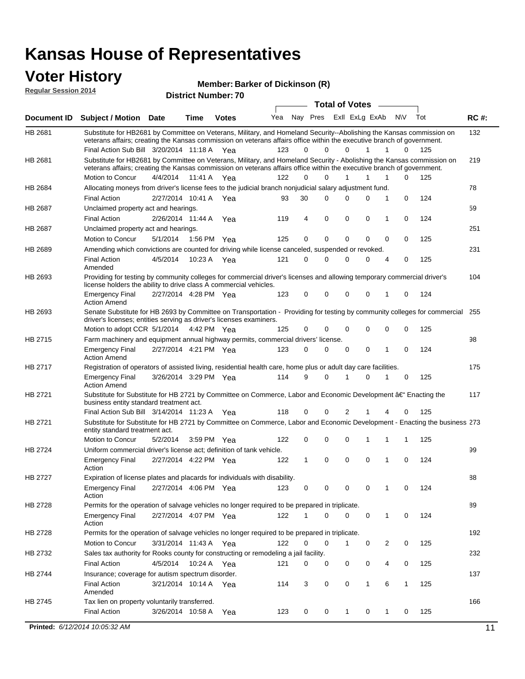#### **Voter History Regular Session 2014**

**Member: Barker of Dickinson (R)** 

|                    | nuyurur Uuddiun Luin                                                                                                                                                                                                                                                                          |                       |         | <b>District Number: 70</b> |     |             |          |              |                  |   |              |     |             |
|--------------------|-----------------------------------------------------------------------------------------------------------------------------------------------------------------------------------------------------------------------------------------------------------------------------------------------|-----------------------|---------|----------------------------|-----|-------------|----------|--------------|------------------|---|--------------|-----|-------------|
|                    |                                                                                                                                                                                                                                                                                               |                       |         |                            |     |             |          |              | Total of Votes – |   |              |     |             |
| <b>Document ID</b> | Subject / Motion Date                                                                                                                                                                                                                                                                         |                       | Time    | <b>Votes</b>               | Yea |             | Nay Pres |              | Exll ExLg ExAb   |   | N\V          | Tot | <b>RC#:</b> |
| HB 2681            | Substitute for HB2681 by Committee on Veterans, Military, and Homeland Security--Abolishing the Kansas commission on<br>veterans affairs; creating the Kansas commission on veterans affairs office within the executive branch of government.<br>Final Action Sub Bill 3/20/2014 11:18 A Yea |                       |         |                            | 123 | 0           | $\Omega$ | 0            | 1                | 1 | 0            | 125 | 132         |
| HB 2681            | Substitute for HB2681 by Committee on Veterans, Military, and Homeland Security - Abolishing the Kansas commission on                                                                                                                                                                         |                       |         |                            |     |             |          |              |                  |   |              |     | 219         |
|                    | veterans affairs; creating the Kansas commission on veterans affairs office within the executive branch of government.                                                                                                                                                                        |                       |         |                            |     |             |          |              |                  |   |              |     |             |
|                    | Motion to Concur                                                                                                                                                                                                                                                                              | 4/4/2014              | 11:41 A | Yea                        | 122 | $\Omega$    | $\Omega$ | 1            | 1                | 1 | $\Omega$     | 125 |             |
| HB 2684            | Allocating moneys from driver's license fees to the judicial branch nonjudicial salary adjustment fund.                                                                                                                                                                                       |                       |         |                            |     |             |          |              |                  |   |              |     | 78          |
|                    | <b>Final Action</b>                                                                                                                                                                                                                                                                           | 2/27/2014 10:41 A     |         | Yea                        | 93  | 30          | $\Omega$ | 0            | $\Omega$         | 1 | 0            | 124 |             |
| HB 2687            | Unclaimed property act and hearings.                                                                                                                                                                                                                                                          |                       |         |                            |     |             |          |              |                  |   |              |     | 59          |
|                    | <b>Final Action</b>                                                                                                                                                                                                                                                                           | 2/26/2014 11:44 A     |         | Yea                        | 119 | 4           | 0        | 0            | 0                | 1 | 0            | 124 |             |
| HB 2687            | Unclaimed property act and hearings.                                                                                                                                                                                                                                                          |                       |         |                            |     |             |          |              |                  |   |              |     | 251         |
|                    | Motion to Concur                                                                                                                                                                                                                                                                              | 5/1/2014              |         | 1:56 PM Yea                | 125 | $\mathbf 0$ | 0        | 0            | 0                | 0 | 0            | 125 |             |
| HB 2689            | Amending which convictions are counted for driving while license canceled, suspended or revoked.                                                                                                                                                                                              |                       |         |                            |     |             |          |              |                  |   |              |     | 231         |
|                    | <b>Final Action</b><br>Amended                                                                                                                                                                                                                                                                | 4/5/2014              | 10:23 A | Yea                        | 121 | 0           | $\Omega$ | 0            | $\Omega$         | 4 | 0            | 125 |             |
| HB 2693            | Providing for testing by community colleges for commercial driver's licenses and allowing temporary commercial driver's<br>license holders the ability to drive class A commercial vehicles.                                                                                                  |                       |         |                            |     |             |          |              |                  |   |              |     | 104         |
|                    | <b>Emergency Final</b><br><b>Action Amend</b>                                                                                                                                                                                                                                                 | 2/27/2014 4:28 PM Yea |         |                            | 123 | 0           | $\Omega$ | 0            | 0                | 1 | 0            | 124 |             |
| HB 2693            | Senate Substitute for HB 2693 by Committee on Transportation - Providing for testing by community colleges for commercial 255<br>driver's licenses; entities serving as driver's licenses examiners.                                                                                          |                       |         |                            |     |             |          |              |                  |   |              |     |             |
|                    | Motion to adopt CCR 5/1/2014 4:42 PM Yea                                                                                                                                                                                                                                                      |                       |         |                            | 125 | 0           | 0        | 0            | 0                | 0 | 0            | 125 |             |
| HB 2715            | Farm machinery and equipment annual highway permits, commercial drivers' license.                                                                                                                                                                                                             |                       |         |                            |     |             |          |              |                  |   |              |     | 98          |
|                    | <b>Emergency Final</b><br><b>Action Amend</b>                                                                                                                                                                                                                                                 | 2/27/2014 4:21 PM Yea |         |                            | 123 | 0           | $\Omega$ | 0            | 0                | 1 | 0            | 124 |             |
| HB 2717            | Registration of operators of assisted living, residential health care, home plus or adult day care facilities.                                                                                                                                                                                |                       |         |                            |     |             |          |              |                  |   |              |     | 175         |
|                    | <b>Emergency Final</b><br><b>Action Amend</b>                                                                                                                                                                                                                                                 | 3/26/2014 3:29 PM Yea |         |                            | 114 | 9           | $\Omega$ |              | 0                | 1 | 0            | 125 |             |
| HB 2721            | Substitute for Substitute for HB 2721 by Committee on Commerce, Labor and Economic Development †Enacting the<br>business entity standard treatment act.                                                                                                                                       |                       |         |                            |     |             |          |              |                  |   |              |     | 117         |
|                    | Final Action Sub Bill 3/14/2014 11:23 A Yea                                                                                                                                                                                                                                                   |                       |         |                            | 118 | 0           | 0        | 2            |                  | 4 | 0            | 125 |             |
| HB 2721            | Substitute for Substitute for HB 2721 by Committee on Commerce, Labor and Economic Development - Enacting the business 273<br>entity standard treatment act.                                                                                                                                  |                       |         |                            |     |             |          |              |                  |   |              |     |             |
|                    | Motion to Concur                                                                                                                                                                                                                                                                              | 5/2/2014              |         | 3:59 PM Yea                | 122 | 0           | 0        | 0            | 1                | 1 | 1            | 125 |             |
| <b>HB 2724</b>     | Uniform commercial driver's license act; definition of tank vehicle.                                                                                                                                                                                                                          |                       |         |                            |     |             |          |              |                  |   |              |     | 99          |
|                    | <b>Emergency Final</b><br>Action                                                                                                                                                                                                                                                              | 2/27/2014 4:22 PM Yea |         |                            | 122 | 1           | 0        | $\mathbf 0$  | 0                | 1 | 0            | 124 |             |
| HB 2727            | Expiration of license plates and placards for individuals with disability.                                                                                                                                                                                                                    |                       |         |                            |     |             |          |              |                  |   |              |     | 88          |
|                    | <b>Emergency Final</b>                                                                                                                                                                                                                                                                        |                       |         | 2/27/2014 4:06 PM Yea      | 123 | 0           | 0        | 0            | 0                | 1 | 0            | 124 |             |
|                    | Action                                                                                                                                                                                                                                                                                        |                       |         |                            |     |             |          |              |                  |   |              |     |             |
| HB 2728            | Permits for the operation of salvage vehicles no longer required to be prepared in triplicate.                                                                                                                                                                                                |                       |         |                            |     |             |          |              |                  |   |              |     | 89          |
|                    | <b>Emergency Final</b><br>Action                                                                                                                                                                                                                                                              | 2/27/2014 4:07 PM Yea |         |                            | 122 | 1           | 0        | 0            | 0                | 1 | 0            | 124 |             |
| HB 2728            | Permits for the operation of salvage vehicles no longer required to be prepared in triplicate.                                                                                                                                                                                                |                       |         |                            |     |             |          |              |                  |   |              |     | 192         |
|                    | <b>Motion to Concur</b>                                                                                                                                                                                                                                                                       |                       |         | 3/31/2014 11:43 A Yea      | 122 | 0           | 0        | 1            | 0                | 2 | 0            | 125 |             |
| HB 2732            | Sales tax authority for Rooks county for constructing or remodeling a jail facility.                                                                                                                                                                                                          |                       |         |                            |     |             |          |              |                  |   |              |     | 232         |
|                    | <b>Final Action</b>                                                                                                                                                                                                                                                                           | 4/5/2014              |         | 10:24 A Yea                | 121 | 0           | 0        | 0            | 0                | 4 | 0            | 125 |             |
| HB 2744            | Insurance; coverage for autism spectrum disorder.                                                                                                                                                                                                                                             |                       |         |                            |     |             |          |              |                  |   |              |     | 137         |
|                    | <b>Final Action</b>                                                                                                                                                                                                                                                                           | 3/21/2014 10:14 A Yea |         |                            | 114 | 3           | 0        | 0            | $\mathbf{1}$     | 6 | $\mathbf{1}$ | 125 |             |
|                    | Amended                                                                                                                                                                                                                                                                                       |                       |         |                            |     |             |          |              |                  |   |              |     |             |
| HB 2745            | Tax lien on property voluntarily transferred.                                                                                                                                                                                                                                                 |                       |         |                            |     |             |          |              |                  |   |              |     | 166         |
|                    | <b>Final Action</b>                                                                                                                                                                                                                                                                           | 3/26/2014 10:58 A     |         | Yea                        | 123 | 0           | 0        | $\mathbf{1}$ | 0                | 1 | 0            | 125 |             |
|                    | Printed: 6/12/2014 10:05:32 AM                                                                                                                                                                                                                                                                |                       |         |                            |     |             |          |              |                  |   |              |     | 11          |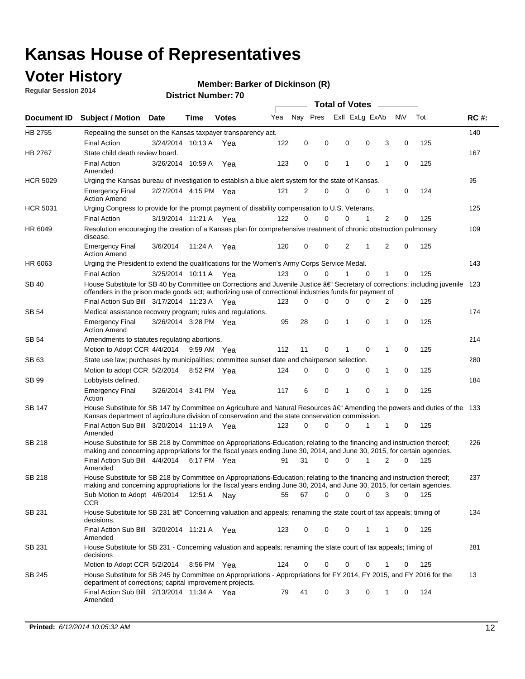### **Voter History**

**Regular Session 2014**

#### **Member: Barker of Dickinson (R)**

|                    |                                                                                                                                                                                                                                      |                       |             |              |     |          |          | <b>Total of Votes</b> |                |             |                |             |     |             |
|--------------------|--------------------------------------------------------------------------------------------------------------------------------------------------------------------------------------------------------------------------------------|-----------------------|-------------|--------------|-----|----------|----------|-----------------------|----------------|-------------|----------------|-------------|-----|-------------|
| <b>Document ID</b> | <b>Subject / Motion Date</b>                                                                                                                                                                                                         |                       | Time        | <b>Votes</b> | Yea | Nav Pres |          |                       | Exll ExLg ExAb |             | N\V            |             | Tot | <b>RC#:</b> |
| HB 2755            | Repealing the sunset on the Kansas taxpayer transparency act.                                                                                                                                                                        |                       |             |              |     |          |          |                       |                |             |                |             |     | 140         |
|                    | <b>Final Action</b>                                                                                                                                                                                                                  | 3/24/2014 10:13 A     |             | Yea          | 122 | 0        | 0        | 0                     |                | 0           | 3              | 0           | 125 |             |
| HB 2767            | State child death review board.                                                                                                                                                                                                      |                       |             |              |     |          |          |                       |                |             |                |             |     | 167         |
|                    | <b>Final Action</b><br>Amended                                                                                                                                                                                                       | 3/26/2014 10:59 A     |             | Yea          | 123 | 0        | 0        | 1                     |                | $\mathbf 0$ | 1              | 0           | 125 |             |
| <b>HCR 5029</b>    | Urging the Kansas bureau of investigation to establish a blue alert system for the state of Kansas.                                                                                                                                  |                       |             |              |     |          |          |                       |                |             |                |             |     | 95          |
|                    | <b>Emergency Final</b><br><b>Action Amend</b>                                                                                                                                                                                        | 2/27/2014 4:15 PM Yea |             |              | 121 | 2        | 0        | 0                     |                | 0           | 1              | 0           | 124 |             |
| <b>HCR 5031</b>    | Urging Congress to provide for the prompt payment of disability compensation to U.S. Veterans.                                                                                                                                       |                       |             |              |     |          |          |                       |                |             |                |             |     | 125         |
|                    | <b>Final Action</b>                                                                                                                                                                                                                  | 3/19/2014 11:21 A Yea |             |              | 122 | $\Omega$ | $\Omega$ | 0                     |                | 1           | 2              | 0           | 125 |             |
| HR 6049            | Resolution encouraging the creation of a Kansas plan for comprehensive treatment of chronic obstruction pulmonary<br>disease.                                                                                                        |                       |             |              |     |          |          |                       |                |             |                |             |     | 109         |
|                    | <b>Emergency Final</b><br><b>Action Amend</b>                                                                                                                                                                                        | 3/6/2014              | 11:24 A     | Yea          | 120 | 0        | 0        | 2                     | 1              |             | $\overline{2}$ | $\mathbf 0$ | 125 |             |
| HR 6063            | Urging the President to extend the qualifications for the Women's Army Corps Service Medal.                                                                                                                                          |                       |             |              |     |          |          |                       |                |             |                |             |     | 143         |
|                    | <b>Final Action</b>                                                                                                                                                                                                                  | 3/25/2014 10:11 A Yea |             |              | 123 | $\Omega$ | $\Omega$ | 1                     |                | $\Omega$    | 1              | 0           | 125 |             |
| SB 40              | House Substitute for SB 40 by Committee on Corrections and Juvenile Justice †Secretary of corrections; including juvenile<br>offenders in the prison made goods act; authorizing use of correctional industries funds for payment of |                       |             |              |     |          |          |                       |                |             |                |             |     | 123         |
|                    | Final Action Sub Bill 3/17/2014 11:23 A Yea                                                                                                                                                                                          |                       |             |              | 123 | 0        | 0        | 0                     |                | $\Omega$    | 2              | 0           | 125 |             |
| SB 54              | Medical assistance recovery program; rules and regulations.                                                                                                                                                                          |                       |             |              |     |          |          |                       |                |             |                |             |     | 174         |
|                    | <b>Emergency Final</b><br><b>Action Amend</b>                                                                                                                                                                                        | 3/26/2014 3:28 PM Yea |             |              | 95  | 28       | 0        | 1                     |                | 0           | 1              | 0           | 125 |             |
| SB 54              | Amendments to statutes regulating abortions.                                                                                                                                                                                         |                       |             |              |     |          |          |                       |                |             |                |             |     | 214         |
|                    | Motion to Adopt CCR 4/4/2014                                                                                                                                                                                                         |                       | 9:59 AM Yea |              | 112 | 11       | 0        |                       |                | $\mathbf 0$ | 1              | 0           | 125 |             |
| SB 63              | State use law; purchases by municipalities; committee sunset date and chairperson selection.                                                                                                                                         |                       |             |              |     |          |          |                       |                |             |                |             |     | 280         |
|                    | Motion to adopt CCR 5/2/2014                                                                                                                                                                                                         |                       |             | 8:52 PM Yea  | 124 | 0        | 0        | 0                     |                | 0           | 1              | 0           | 125 |             |
| SB 99              | Lobbyists defined.                                                                                                                                                                                                                   |                       |             |              |     |          |          |                       |                |             |                |             |     | 184         |
|                    | <b>Emergency Final</b><br>Action                                                                                                                                                                                                     | 3/26/2014 3:41 PM Yea |             |              | 117 | 6        | 0        | 1                     |                | 0           | 1              | 0           | 125 |             |
| SB 147             | House Substitute for SB 147 by Committee on Agriculture and Natural Resources †Amending the powers and duties of the 133<br>Kansas department of agriculture division of conservation and the state conservation commission.         |                       |             |              |     |          |          |                       |                |             |                |             |     |             |
|                    | Final Action Sub Bill 3/20/2014 11:19 A Yea<br>Amended                                                                                                                                                                               |                       |             |              | 123 | 0        | $\Omega$ | 0                     |                | 1           | 1              | 0           | 125 |             |
| <b>SB 218</b>      | House Substitute for SB 218 by Committee on Appropriations-Education; relating to the financing and instruction thereof;                                                                                                             |                       |             |              |     |          |          |                       |                |             |                |             |     | 226         |
|                    | making and concerning appropriations for the fiscal years ending June 30, 2014, and June 30, 2015, for certain agencies.<br>Final Action Sub Bill 4/4/2014                                                                           |                       |             | 6:17 PM Yea  | 91  | 31       | $\Omega$ | 0                     |                | 1           | $\overline{2}$ | $\Omega$    | 125 |             |
|                    | Amended                                                                                                                                                                                                                              |                       |             |              |     |          |          |                       |                |             |                |             |     |             |
| <b>SB 218</b>      | House Substitute for SB 218 by Committee on Appropriations-Education; relating to the financing and instruction thereof;                                                                                                             |                       |             |              |     |          |          |                       |                |             |                |             |     | 237         |
|                    | making and concerning appropriations for the fiscal years ending June 30, 2014, and June 30, 2015, for certain agencies.                                                                                                             |                       |             |              |     |          |          |                       |                |             |                |             |     |             |
|                    | Sub Motion to Adopt 4/6/2014 12:51 A Nay                                                                                                                                                                                             |                       |             |              | 55  | 67       | 0        | 0                     |                | 0           | 3              | 0           | 125 |             |
| SB 231             | <b>CCR</b><br>House Substitute for SB 231 †Concerning valuation and appeals; renaming the state court of tax appeals; timing of                                                                                                      |                       |             |              |     |          |          |                       |                |             |                |             |     | 134         |
|                    | decisions.<br>Final Action Sub Bill 3/20/2014 11:21 A Yea                                                                                                                                                                            |                       |             |              | 123 | 0        | 0        | 0                     |                | 1           | 1              | 0           | 125 |             |
|                    | Amended                                                                                                                                                                                                                              |                       |             |              |     |          |          |                       |                |             |                |             |     |             |
| SB 231             | House Substitute for SB 231 - Concerning valuation and appeals; renaming the state court of tax appeals; timing of<br>decisions                                                                                                      |                       |             |              |     |          |          |                       |                |             |                |             |     | 281         |
|                    | Motion to Adopt CCR 5/2/2014                                                                                                                                                                                                         |                       |             | 8:56 PM Yea  | 124 | 0        | 0        | 0                     |                | $\mathbf 0$ | 1              | 0           | 125 |             |
| SB 245             | House Substitute for SB 245 by Committee on Appropriations - Appropriations for FY 2014, FY 2015, and FY 2016 for the<br>department of corrections; capital improvement projects.                                                    |                       |             |              |     |          |          |                       |                |             |                |             |     | 13          |
|                    | Final Action Sub Bill 2/13/2014 11:34 A Yea<br>Amended                                                                                                                                                                               |                       |             |              | 79  | 41       | 0        | 3                     |                | 0           | 1              | 0           | 124 |             |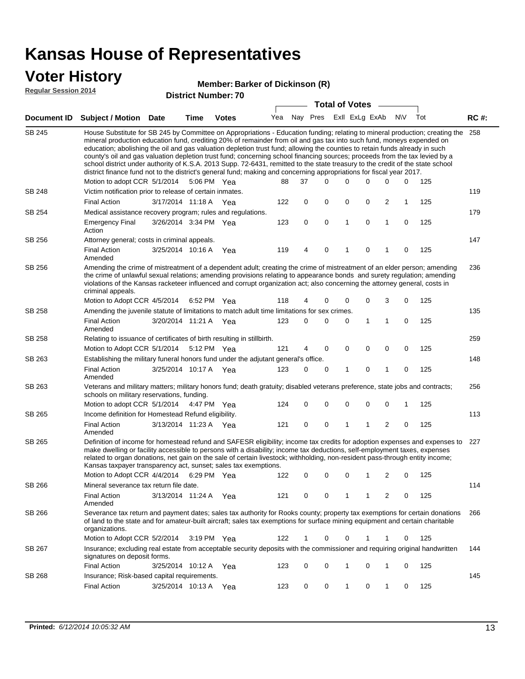### **Voter History**

#### **Member: Barker of Dickinson (R)**

**Regular Session 2014**

| <b>District Number: 70</b> |  |
|----------------------------|--|
|                            |  |

|               |                                                                                                                                                                                                                                                                                                                                                                                                                                                                                                                                                                                                                                                                                                                                                                                                                   |                       |             | וסושעו ואטווואסו |     |    | <b>Total of Votes</b>       |   |             |                |             |     |             |
|---------------|-------------------------------------------------------------------------------------------------------------------------------------------------------------------------------------------------------------------------------------------------------------------------------------------------------------------------------------------------------------------------------------------------------------------------------------------------------------------------------------------------------------------------------------------------------------------------------------------------------------------------------------------------------------------------------------------------------------------------------------------------------------------------------------------------------------------|-----------------------|-------------|------------------|-----|----|-----------------------------|---|-------------|----------------|-------------|-----|-------------|
| Document ID   | <b>Subject / Motion Date</b>                                                                                                                                                                                                                                                                                                                                                                                                                                                                                                                                                                                                                                                                                                                                                                                      |                       | <b>Time</b> | <b>Votes</b>     |     |    | Yea Nay Pres ExII ExLg ExAb |   |             |                | <b>NV</b>   | Tot | <b>RC#:</b> |
| <b>SB 245</b> | House Substitute for SB 245 by Committee on Appropriations - Education funding; relating to mineral production; creating the 258<br>mineral production education fund, crediting 20% of remainder from oil and gas tax into such fund, moneys expended on<br>education; abolishing the oil and gas valuation depletion trust fund; allowing the counties to retain funds already in such<br>county's oil and gas valuation depletion trust fund; concerning school financing sources; proceeds from the tax levied by a<br>school district under authority of K.S.A. 2013 Supp. 72-6431, remitted to the state treasury to the credit of the state school<br>district finance fund not to the district's general fund; making and concerning appropriations for fiscal year 2017.<br>Motion to adopt CCR 5/1/2014 |                       |             | 5:06 PM Yea      | 88  | 37 | $\Omega$                    | 0 | 0           | 0              | 0           | 125 |             |
| <b>SB 248</b> | Victim notification prior to release of certain inmates.                                                                                                                                                                                                                                                                                                                                                                                                                                                                                                                                                                                                                                                                                                                                                          |                       |             |                  |     |    |                             |   |             |                |             |     | 119         |
|               | <b>Final Action</b>                                                                                                                                                                                                                                                                                                                                                                                                                                                                                                                                                                                                                                                                                                                                                                                               | 3/17/2014 11:18 A     |             | Yea              | 122 | 0  | 0                           | 0 | 0           | 2              | 1           | 125 |             |
| SB 254        | Medical assistance recovery program; rules and regulations.                                                                                                                                                                                                                                                                                                                                                                                                                                                                                                                                                                                                                                                                                                                                                       |                       |             |                  |     |    |                             |   |             |                |             |     | 179         |
|               | <b>Emergency Final</b><br>Action                                                                                                                                                                                                                                                                                                                                                                                                                                                                                                                                                                                                                                                                                                                                                                                  | 3/26/2014 3:34 PM Yea |             |                  | 123 | 0  | $\mathbf 0$                 | 1 | $\mathbf 0$ | 1              | 0           | 125 |             |
| SB 256        | Attorney general; costs in criminal appeals.                                                                                                                                                                                                                                                                                                                                                                                                                                                                                                                                                                                                                                                                                                                                                                      |                       |             |                  |     |    |                             |   |             |                |             |     | 147         |
|               | <b>Final Action</b><br>Amended                                                                                                                                                                                                                                                                                                                                                                                                                                                                                                                                                                                                                                                                                                                                                                                    | 3/25/2014 10:16 A     |             | Yea              | 119 | 4  | $\mathbf 0$                 | 1 | 0           | 1              | 0           | 125 |             |
| SB 256        | Amending the crime of mistreatment of a dependent adult; creating the crime of mistreatment of an elder person; amending<br>the crime of unlawful sexual relations; amending provisions relating to appearance bonds and surety regulation; amending<br>violations of the Kansas racketeer influenced and corrupt organization act; also concerning the attorney general, costs in<br>criminal appeals.                                                                                                                                                                                                                                                                                                                                                                                                           |                       |             |                  |     | 4  |                             |   |             |                |             |     | 236         |
| SB 258        | Motion to Adopt CCR 4/5/2014 6:52 PM Yea<br>Amending the juvenile statute of limitations to match adult time limitations for sex crimes.                                                                                                                                                                                                                                                                                                                                                                                                                                                                                                                                                                                                                                                                          |                       |             |                  | 118 |    | 0                           | 0 | 0           | 3              | 0           | 125 | 135         |
|               | <b>Final Action</b><br>Amended                                                                                                                                                                                                                                                                                                                                                                                                                                                                                                                                                                                                                                                                                                                                                                                    | 3/20/2014 11:21 A Yea |             |                  | 123 | 0  | 0                           | 0 | 1           | $\mathbf{1}$   | 0           | 125 |             |
| SB 258        | Relating to issuance of certificates of birth resulting in stillbirth.                                                                                                                                                                                                                                                                                                                                                                                                                                                                                                                                                                                                                                                                                                                                            |                       |             |                  |     |    |                             |   |             |                |             |     | 259         |
|               | Motion to Adopt CCR 5/1/2014 5:12 PM Yea                                                                                                                                                                                                                                                                                                                                                                                                                                                                                                                                                                                                                                                                                                                                                                          |                       |             |                  | 121 | 4  | 0                           | 0 | 0           | 0              | 0           | 125 |             |
| SB 263        | Establishing the military funeral honors fund under the adjutant general's office.                                                                                                                                                                                                                                                                                                                                                                                                                                                                                                                                                                                                                                                                                                                                |                       |             |                  |     |    |                             |   |             |                |             |     | 148         |
|               | <b>Final Action</b><br>Amended                                                                                                                                                                                                                                                                                                                                                                                                                                                                                                                                                                                                                                                                                                                                                                                    | 3/25/2014 10:17 A Yea |             |                  | 123 | 0  | 0                           | 1 | 0           | $\mathbf{1}$   | $\mathbf 0$ | 125 |             |
| SB 263        | Veterans and military matters; military honors fund; death gratuity; disabled veterans preference, state jobs and contracts;<br>schools on military reservations, funding.                                                                                                                                                                                                                                                                                                                                                                                                                                                                                                                                                                                                                                        |                       |             |                  |     |    |                             |   |             |                |             |     | 256         |
|               | Motion to adopt CCR 5/1/2014 4:47 PM Yea                                                                                                                                                                                                                                                                                                                                                                                                                                                                                                                                                                                                                                                                                                                                                                          |                       |             |                  | 124 | 0  | 0                           | 0 | 0           | $\mathbf 0$    | 1           | 125 |             |
| SB 265        | Income definition for Homestead Refund eligibility.                                                                                                                                                                                                                                                                                                                                                                                                                                                                                                                                                                                                                                                                                                                                                               |                       |             |                  |     |    |                             |   |             |                |             |     | 113         |
|               | <b>Final Action</b><br>Amended                                                                                                                                                                                                                                                                                                                                                                                                                                                                                                                                                                                                                                                                                                                                                                                    | 3/13/2014 11:23 A Yea |             |                  | 121 | 0  | 0                           | 1 | 1           | $\overline{c}$ | 0           | 125 |             |
| SB 265        | Definition of income for homestead refund and SAFESR eligibility; income tax credits for adoption expenses and expenses to<br>make dwelling or facility accessible to persons with a disability; income tax deductions, self-employment taxes, expenses<br>related to organ donations, net gain on the sale of certain livestock; withholding, non-resident pass-through entity income;<br>Kansas taxpayer transparency act, sunset; sales tax exemptions.<br>Motion to Adopt CCR 4/4/2014 6:29 PM Yea                                                                                                                                                                                                                                                                                                            |                       |             |                  | 122 | 0  | 0                           | 0 | 1           | 2              | 0           | 125 | 227         |
| SB 266        | Mineral severance tax return file date.                                                                                                                                                                                                                                                                                                                                                                                                                                                                                                                                                                                                                                                                                                                                                                           |                       |             |                  |     |    |                             |   |             |                |             |     | 114         |
|               | <b>Final Action</b><br>Amended                                                                                                                                                                                                                                                                                                                                                                                                                                                                                                                                                                                                                                                                                                                                                                                    | 3/13/2014 11:24 A     |             | Yea              | 121 | 0  | 0                           | 1 | 1           | 2              | 0           | 125 |             |
| SB 266        | Severance tax return and payment dates; sales tax authority for Rooks county; property tax exemptions for certain donations<br>of land to the state and for amateur-built aircraft; sales tax exemptions for surface mining equipment and certain charitable<br>organizations.                                                                                                                                                                                                                                                                                                                                                                                                                                                                                                                                    |                       |             |                  |     |    |                             |   |             |                |             |     | 266         |
|               | Motion to Adopt CCR 5/2/2014                                                                                                                                                                                                                                                                                                                                                                                                                                                                                                                                                                                                                                                                                                                                                                                      |                       |             | 3:19 PM Yea      | 122 | 1  | 0                           | 0 |             | 1              | 0           | 125 |             |
| SB 267        | Insurance; excluding real estate from acceptable security deposits with the commissioner and requiring original handwritten<br>signatures on deposit forms.                                                                                                                                                                                                                                                                                                                                                                                                                                                                                                                                                                                                                                                       |                       |             |                  |     |    |                             |   |             |                |             |     | 144         |
|               | <b>Final Action</b>                                                                                                                                                                                                                                                                                                                                                                                                                                                                                                                                                                                                                                                                                                                                                                                               | 3/25/2014 10:12 A     |             | Yea              | 123 | 0  | 0                           | 1 | 0           | 1              | 0           | 125 |             |
| SB 268        | Insurance; Risk-based capital requirements.                                                                                                                                                                                                                                                                                                                                                                                                                                                                                                                                                                                                                                                                                                                                                                       |                       |             |                  |     |    |                             |   |             |                |             |     | 145         |
|               | <b>Final Action</b>                                                                                                                                                                                                                                                                                                                                                                                                                                                                                                                                                                                                                                                                                                                                                                                               | 3/25/2014 10:13 A     |             | Yea              | 123 | 0  | 0                           | 1 | 0           | 1              | 0           | 125 |             |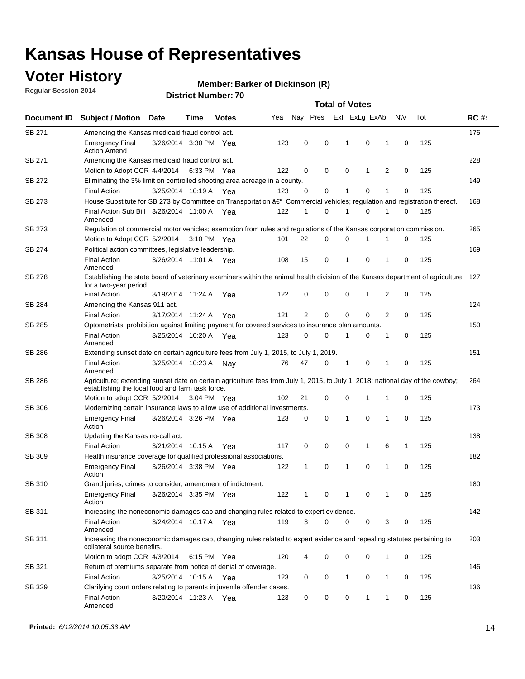### **Voter History**

**Regular Session 2014**

#### **Member: Barker of Dickinson (R)**

|                    |                                                                                                                                                                                    |                       |      |              |     | <b>Total of Votes</b> |             |              |                |   |             |     |             |  |
|--------------------|------------------------------------------------------------------------------------------------------------------------------------------------------------------------------------|-----------------------|------|--------------|-----|-----------------------|-------------|--------------|----------------|---|-------------|-----|-------------|--|
| <b>Document ID</b> | <b>Subject / Motion Date</b>                                                                                                                                                       |                       | Time | <b>Votes</b> | Yea | Nay Pres              |             |              | Exll ExLg ExAb |   | N\V         | Tot | <b>RC#:</b> |  |
| <b>SB 271</b>      | Amending the Kansas medicaid fraud control act.                                                                                                                                    |                       |      |              |     |                       |             |              |                |   |             |     | 176         |  |
|                    | <b>Emergency Final</b><br><b>Action Amend</b>                                                                                                                                      | 3/26/2014 3:30 PM Yea |      |              | 123 | 0                     | 0           | 1            | $\mathbf 0$    | 1 | 0           | 125 |             |  |
| SB 271             | Amending the Kansas medicaid fraud control act.                                                                                                                                    |                       |      |              |     |                       |             |              |                |   |             |     | 228         |  |
|                    | Motion to Adopt CCR 4/4/2014 6:33 PM Yea                                                                                                                                           |                       |      |              | 122 | 0                     | 0           | 0            | 1              | 2 | 0           | 125 |             |  |
| SB 272             | Eliminating the 3% limit on controlled shooting area acreage in a county.                                                                                                          |                       |      |              |     |                       |             |              |                |   |             |     | 149         |  |
|                    | <b>Final Action</b>                                                                                                                                                                | 3/25/2014 10:19 A Yea |      |              | 123 | $\Omega$              | 0           | 1            | 0              | 1 | 0           | 125 |             |  |
| SB 273             | House Substitute for SB 273 by Committee on Transportation â€ <sup>4</sup> Commercial vehicles; regulation and registration thereof.                                               |                       |      |              |     |                       |             |              |                |   |             |     | 168         |  |
|                    | Final Action Sub Bill 3/26/2014 11:00 A Yea<br>Amended                                                                                                                             |                       |      |              | 122 | $\mathbf 1$           | 0           | -1           | 0              | 1 | 0           | 125 |             |  |
| SB 273             | Regulation of commercial motor vehicles; exemption from rules and regulations of the Kansas corporation commission.                                                                |                       |      |              |     |                       |             |              |                |   |             |     | 265         |  |
|                    | Motion to Adopt CCR 5/2/2014 3:10 PM Yea                                                                                                                                           |                       |      |              | 101 | 22                    | 0           | 0            | 1              | 1 | 0           | 125 |             |  |
| SB 274             | Political action committees, legislative leadership.                                                                                                                               |                       |      |              |     |                       |             |              |                |   |             |     | 169         |  |
|                    | <b>Final Action</b><br>Amended                                                                                                                                                     | 3/26/2014 11:01 A Yea |      |              | 108 | 15                    | 0           | $\mathbf{1}$ | 0              | 1 | 0           | 125 |             |  |
| SB 278             | Establishing the state board of veterinary examiners within the animal health division of the Kansas department of agriculture<br>for a two-year period.                           |                       |      |              |     |                       |             |              |                |   |             |     | 127         |  |
|                    | <b>Final Action</b>                                                                                                                                                                | 3/19/2014 11:24 A     |      | Yea          | 122 | 0                     | 0           | 0            | $\mathbf 1$    | 2 | 0           | 125 |             |  |
| SB 284             | Amending the Kansas 911 act.<br><b>Final Action</b>                                                                                                                                | 3/17/2014 11:24 A     |      | Yea          | 121 | 2                     | $\mathbf 0$ | $\mathbf 0$  | 0              | 2 | $\Omega$    | 125 | 124         |  |
| SB 285             | Optometrists; prohibition against limiting payment for covered services to insurance plan amounts.                                                                                 |                       |      |              |     |                       |             |              |                |   |             |     | 150         |  |
|                    | <b>Final Action</b><br>Amended                                                                                                                                                     | 3/25/2014 10:20 A     |      | Yea          | 123 | 0                     | 0           | 1            | 0              | 1 | 0           | 125 |             |  |
| SB 286             | Extending sunset date on certain agriculture fees from July 1, 2015, to July 1, 2019.                                                                                              |                       |      |              |     |                       |             |              |                |   |             |     | 151         |  |
|                    | <b>Final Action</b><br>Amended                                                                                                                                                     | 3/25/2014 10:23 A     |      | Nav          | 76  | 47                    | 0           | $\mathbf 1$  | 0              | 1 | 0           | 125 |             |  |
| SB 286             | Agriculture; extending sunset date on certain agriculture fees from July 1, 2015, to July 1, 2018; national day of the cowboy;<br>establishing the local food and farm task force. |                       |      |              |     |                       |             |              |                |   |             |     | 264         |  |
|                    | Motion to adopt CCR 5/2/2014 3:04 PM Yea                                                                                                                                           |                       |      |              | 102 | 21                    | 0           | 0            | $\mathbf 1$    | 1 | 0           | 125 |             |  |
| SB 306             | Modernizing certain insurance laws to allow use of additional investments.                                                                                                         |                       |      |              |     |                       |             |              |                |   |             |     | 173         |  |
|                    | <b>Emergency Final</b><br>Action                                                                                                                                                   | 3/26/2014 3:26 PM Yea |      |              | 123 | 0                     | 0           | $\mathbf{1}$ | 0              | 1 | 0           | 125 |             |  |
| <b>SB 308</b>      | Updating the Kansas no-call act.                                                                                                                                                   |                       |      |              |     |                       |             |              |                |   |             |     | 138         |  |
|                    | <b>Final Action</b>                                                                                                                                                                | 3/21/2014 10:15 A     |      | Yea          | 117 | 0                     | 0           | 0            | 1              | 6 | 1           | 125 |             |  |
| SB 309             | Health insurance coverage for qualified professional associations.                                                                                                                 |                       |      |              |     |                       |             |              |                |   |             |     | 182         |  |
|                    | <b>Emergency Final</b><br>Action                                                                                                                                                   | 3/26/2014 3:38 PM Yea |      |              | 122 | $\mathbf{1}$          | 0           | 1            | 0              | 1 | $\mathbf 0$ | 125 |             |  |
| SB 310             | Grand juries; crimes to consider; amendment of indictment.                                                                                                                         |                       |      |              |     |                       |             |              |                |   |             |     | 180         |  |
|                    | <b>Emergency Final</b><br>Action                                                                                                                                                   | 3/26/2014 3:35 PM Yea |      |              | 122 | 1                     | 0           | -1           | 0              | 1 | 0           | 125 |             |  |
| SB 311             | Increasing the noneconomic damages cap and changing rules related to expert evidence.                                                                                              |                       |      |              |     |                       |             |              |                |   |             |     | 142         |  |
|                    | <b>Final Action</b><br>Amended                                                                                                                                                     | 3/24/2014 10:17 A Yea |      |              | 119 | 3                     | 0           | 0            | 0              | 3 | 0           | 125 |             |  |
| SB 311             | Increasing the noneconomic damages cap, changing rules related to expert evidence and repealing statutes pertaining to<br>collateral source benefits.                              |                       |      |              |     |                       |             |              |                |   |             |     | 203         |  |
|                    | Motion to adopt CCR 4/3/2014 6:15 PM Yea                                                                                                                                           |                       |      |              | 120 | 4                     | 0           | 0            | 0              | 1 | 0           | 125 |             |  |
| SB 321             | Return of premiums separate from notice of denial of coverage.                                                                                                                     |                       |      |              |     |                       |             |              |                |   |             |     | 146         |  |
|                    | <b>Final Action</b>                                                                                                                                                                | 3/25/2014 10:15 A Yea |      |              | 123 | 0                     | 0           | $\mathbf{1}$ | 0              | 1 | 0           | 125 |             |  |
| SB 329             | Clarifying court orders relating to parents in juvenile offender cases.<br><b>Final Action</b><br>Amended                                                                          | 3/20/2014 11:23 A Yea |      |              | 123 | 0                     | 0           | 0            | 1              | 1 | 0           | 125 | 136         |  |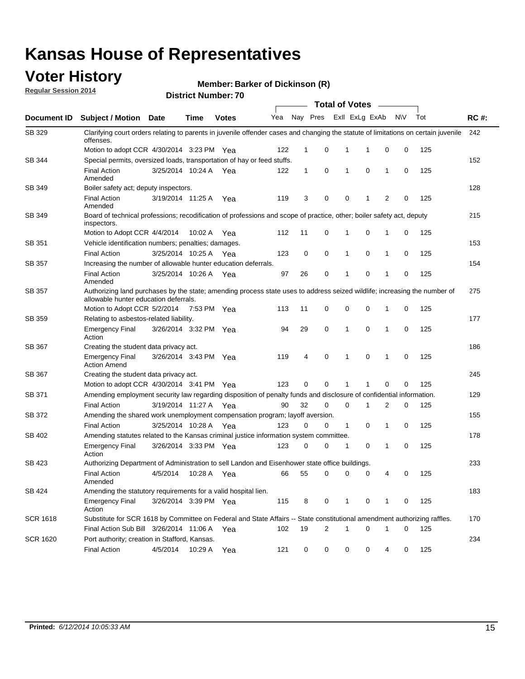### **Voter History**

**Regular Session 2014**

**Member: Barker of Dickinson (R)** 

|                    |                                                                                                                                                                    |                       |             |              |     |              |   |             | <b>Total of Votes</b> |             |           |     |             |
|--------------------|--------------------------------------------------------------------------------------------------------------------------------------------------------------------|-----------------------|-------------|--------------|-----|--------------|---|-------------|-----------------------|-------------|-----------|-----|-------------|
| <b>Document ID</b> | <b>Subject / Motion Date</b>                                                                                                                                       |                       | Time        | <b>Votes</b> | Yea | Nay Pres     |   |             | Exll ExLg ExAb        |             | <b>NV</b> | Tot | <b>RC#:</b> |
| SB 329             | Clarifying court orders relating to parents in juvenile offender cases and changing the statute of limitations on certain juvenile<br>offenses.                    |                       |             |              |     |              |   |             |                       |             |           |     | 242         |
|                    | Motion to adopt CCR 4/30/2014 3:23 PM Yea                                                                                                                          |                       |             |              | 122 | 1            | 0 | 1           | 1                     | 0           | 0         | 125 |             |
| <b>SB 344</b>      | Special permits, oversized loads, transportation of hay or feed stuffs.                                                                                            |                       |             |              |     |              |   |             |                       |             |           |     | 152         |
|                    | <b>Final Action</b><br>Amended                                                                                                                                     | 3/25/2014 10:24 A     |             | Yea          | 122 | $\mathbf{1}$ | 0 | 1           | $\mathbf 0$           | 1           | 0         | 125 |             |
| SB 349             | Boiler safety act; deputy inspectors.                                                                                                                              |                       |             |              |     |              |   |             |                       |             |           |     | 128         |
|                    | <b>Final Action</b><br>Amended                                                                                                                                     | 3/19/2014 11:25 A     |             | Yea          | 119 | 3            | 0 | 0           | 1                     | 2           | 0         | 125 |             |
| SB 349             | Board of technical professions; recodification of professions and scope of practice, other; boiler safety act, deputy<br>inspectors.                               |                       |             |              |     |              |   |             |                       |             |           |     | 215         |
|                    | Motion to Adopt CCR 4/4/2014                                                                                                                                       |                       | 10:02 A     | Yea          | 112 | 11           | 0 | 1           | 0                     | 1           | 0         | 125 |             |
| SB 351             | Vehicle identification numbers; penalties; damages.                                                                                                                |                       |             |              |     |              |   |             |                       |             |           |     | 153         |
|                    | <b>Final Action</b>                                                                                                                                                | 3/25/2014 10:25 A     |             | Yea          | 123 | 0            | 0 | 1           | 0                     | 1           | 0         | 125 |             |
| SB 357             | Increasing the number of allowable hunter education deferrals.                                                                                                     |                       |             |              |     |              |   |             |                       |             |           |     | 154         |
|                    | <b>Final Action</b><br>Amended                                                                                                                                     | 3/25/2014 10:26 A     |             | Yea          | 97  | 26           | 0 | 1           | 0                     | 1           | 0         | 125 |             |
| SB 357             | Authorizing land purchases by the state; amending process state uses to address seized wildlife; increasing the number of<br>allowable hunter education deferrals. |                       |             |              |     |              |   |             |                       |             |           |     | 275         |
|                    | Motion to Adopt CCR 5/2/2014                                                                                                                                       |                       | 7:53 PM Yea |              | 113 | 11           | 0 | 0           | $\mathbf 0$           | 1           | 0         | 125 |             |
| SB 359             | Relating to asbestos-related liability.                                                                                                                            |                       |             |              |     |              |   |             |                       |             |           |     | 177         |
|                    | <b>Emergency Final</b><br>Action                                                                                                                                   | 3/26/2014 3:32 PM Yea |             |              | 94  | 29           | 0 | 1           | $\mathbf 0$           | 1           | 0         | 125 |             |
| <b>SB 367</b>      | Creating the student data privacy act.                                                                                                                             |                       |             |              |     |              |   |             |                       |             |           |     | 186         |
|                    | <b>Emergency Final</b><br><b>Action Amend</b>                                                                                                                      | 3/26/2014 3:43 PM Yea |             |              | 119 | 4            | 0 | 1           | $\mathbf 0$           | 1           | 0         | 125 |             |
| SB 367             | Creating the student data privacy act.                                                                                                                             |                       |             |              |     |              |   |             |                       |             |           |     | 245         |
|                    | Motion to adopt CCR 4/30/2014 3:41 PM Yea                                                                                                                          |                       |             |              | 123 | 0            | 0 | 1           |                       | $\mathbf 0$ | 0         | 125 |             |
| SB 371             | Amending employment security law regarding disposition of penalty funds and disclosure of confidential information.                                                |                       |             |              |     |              |   |             |                       |             |           |     | 129         |
|                    | <b>Final Action</b>                                                                                                                                                | 3/19/2014 11:27 A     |             | Yea          | 90  | 32           | 0 | $\mathbf 0$ | 1                     | 2           | 0         | 125 |             |
| <b>SB 372</b>      | Amending the shared work unemployment compensation program; layoff aversion.                                                                                       |                       |             |              |     |              |   |             |                       |             |           |     | 155         |
|                    | <b>Final Action</b>                                                                                                                                                | 3/25/2014 10:28 A     |             | Yea          | 123 | 0            | 0 | 1           | 0                     | 1           | 0         | 125 |             |
| SB 402             | Amending statutes related to the Kansas criminal justice information system committee.                                                                             |                       |             |              |     |              |   |             |                       |             |           |     | 178         |
|                    | <b>Emergency Final</b><br>Action                                                                                                                                   | 3/26/2014 3:33 PM Yea |             |              | 123 | 0            | 0 | 1           | 0                     | 1           | 0         | 125 |             |
| SB 423             | Authorizing Department of Administration to sell Landon and Eisenhower state office buildings.                                                                     |                       |             |              |     |              |   |             |                       |             |           |     | 233         |
|                    | <b>Final Action</b><br>Amended                                                                                                                                     | 4/5/2014              | 10:28 A     | Yea          | 66  | 55           | 0 | 0           | 0                     | 4           | 0         | 125 |             |
| SB 424             | Amending the statutory requirements for a valid hospital lien.                                                                                                     |                       |             |              |     |              |   |             |                       |             |           |     | 183         |
|                    | <b>Emergency Final</b><br>Action                                                                                                                                   | 3/26/2014 3:39 PM Yea |             |              | 115 | 8            | 0 | 1           | 0                     | 1           | 0         | 125 |             |
| SCR 1618           | Substitute for SCR 1618 by Committee on Federal and State Affairs -- State constitutional amendment authorizing raffles.                                           |                       |             |              |     |              |   |             |                       |             |           |     | 170         |
|                    | Final Action Sub Bill 3/26/2014 11:06 A Yea                                                                                                                        |                       |             |              | 102 | 19           | 2 | 1           | $\mathbf 0$           | 1           | 0         | 125 |             |
| SCR 1620           | Port authority; creation in Stafford, Kansas.                                                                                                                      |                       |             |              |     |              |   |             |                       |             |           |     | 234         |
|                    | <b>Final Action</b>                                                                                                                                                | 4/5/2014              | 10:29 A     | Yea          | 121 | 0            | 0 | 0           | 0                     | 4           | 0         | 125 |             |